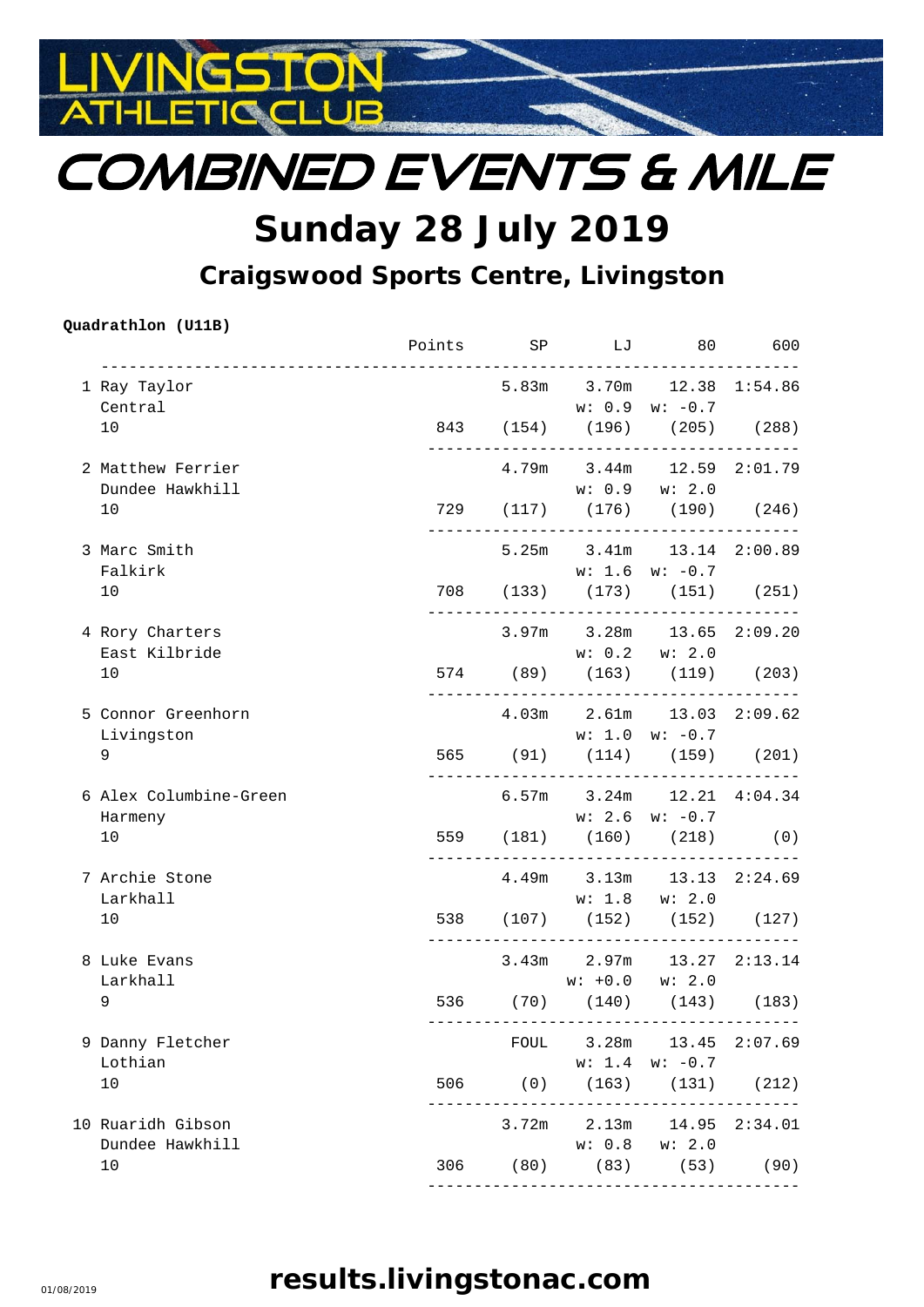

COMBINED EVENTS & MILE

# **Sunday 28 July 2019**

# **Craigswood Sports Centre, Livingston**

#### **Quadrathlon (U11B)**

|                        | Points SP LJ 80 600 |         |                      |                                   |         |
|------------------------|---------------------|---------|----------------------|-----------------------------------|---------|
| 1 Ray Taylor           |                     |         |                      | 5.83m 3.70m 12.38 1:54.86         |         |
| Central                |                     |         |                      | $w: 0.9 w: -0.7$                  |         |
| 10                     |                     |         |                      | 843 (154) (196) (205) (288)       |         |
| 2 Matthew Ferrier      |                     |         |                      | 4.79m 3.44m 12.59 2:01.79         |         |
| Dundee Hawkhill        |                     |         |                      | w: 0.9 w: 2.0                     |         |
| 10                     |                     |         |                      | 729 (117) (176) (190) (246)       |         |
| 3 Marc Smith           |                     |         |                      | 5.25m 3.41m 13.14 2:00.89         |         |
| Falkirk                |                     |         |                      | $w: 1.6 \quad w: -0.7$            |         |
| 10                     |                     |         |                      | 708 (133) (173) (151) (251)       |         |
| 4 Rory Charters        |                     |         |                      | $3.97m$ $3.28m$ $13.65$ $2:09.20$ |         |
| East Kilbride          |                     |         |                      | $w: 0.2 \quad w: 2.0$             |         |
| 10                     |                     |         |                      | 574 (89) (163) (119) (203)        |         |
| 5 Connor Greenhorn     |                     |         |                      | 4.03m 2.61m 13.03 2:09.62         |         |
| Livingston             |                     |         |                      | $w: 1.0 \quad w: -0.7$            |         |
| 9                      |                     |         |                      | 565 (91) (114) (159) (201)        |         |
| 6 Alex Columbine-Green |                     |         |                      | $6.57m$ $3.24m$ $12.21$ $4:04.34$ |         |
| Harmeny                |                     |         |                      | $w: 2.6 \quad w: -0.7$            |         |
| 10                     |                     |         |                      | 559 (181) (160) (218) (0)         |         |
| 7 Archie Stone         |                     |         |                      | 4.49m 3.13m 13.13 2:24.69         |         |
| Larkhall               |                     |         |                      | w: 1.8 w: 2.0                     |         |
| 10                     |                     |         |                      | 538 (107) (152) (152) (127)       |         |
| 8 Luke Evans           |                     |         |                      | 3.43m 2.97m 13.27 2:13.14         |         |
| Larkhall               |                     |         |                      | $w: +0.0$ $w: 2.0$                |         |
| 9                      |                     |         |                      | 536 (70) (140) (143) (183)        |         |
| 9 Danny Fletcher       |                     | FOUL    | 3.28m                | 13.45                             | 2:07.69 |
| Lothian                |                     |         | w: 1.4               | $w: -0.7$                         |         |
| 10                     |                     | 506 (0) | $(163)$ $(131)$      |                                   | (212)   |
| 10 Ruaridh Gibson      |                     |         |                      | 3.72m 2.13m 14.95 2:34.01         |         |
| Dundee Hawkhill        |                     |         |                      | w: 0.8 w: 2.0                     |         |
| 10                     | 306                 |         | $(80)$ $(83)$ $(53)$ |                                   | (90)    |
|                        |                     |         |                      |                                   |         |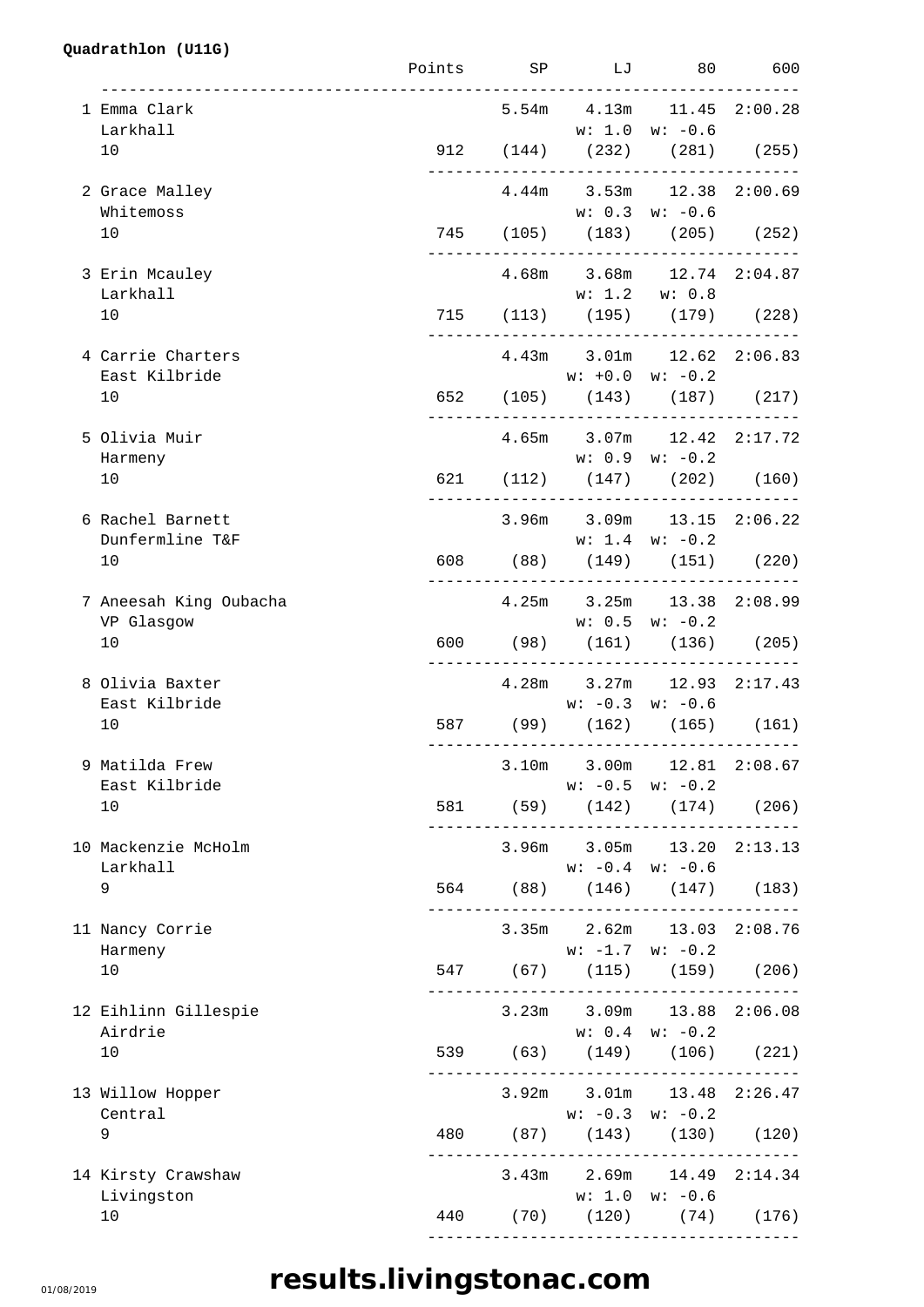#### **Quadrathlon (U11G)**

|                                      |  |                     | Points SP LJ 80 600                                      |  |
|--------------------------------------|--|---------------------|----------------------------------------------------------|--|
| 1 Emma Clark<br>Larkhall             |  |                     | 5.54m  4.13m  11.45  2:00.28<br>$w: 1.0 \quad w: -0.6$   |  |
| 10                                   |  |                     | 912 (144) (232) (281) (255)                              |  |
| 2 Grace Malley<br>Whitemoss          |  |                     | 4.44m 3.53m 12.38 2:00.69<br>$w: 0.3$ $w: -0.6$          |  |
| 10                                   |  |                     | 745 (105) (183) (205) (252)                              |  |
| 3 Erin Mcauley                       |  |                     | 4.68m 3.68m 12.74 2:04.87                                |  |
| Larkhall<br>10                       |  |                     | w: 1.2 w: 0.8<br>715 (113) (195) (179) (228)             |  |
| 4 Carrie Charters<br>East Kilbride   |  |                     | 4.43m 3.01m 12.62 2:06.83<br>$w: +0.0 \quad w: -0.2$     |  |
| 10                                   |  |                     | 652 (105) (143) (187) (217)                              |  |
| 5 Olivia Muir<br>Harmeny             |  |                     | 4.65m 3.07m 12.42 2:17.72<br>$w: 0.9 w: -0.2$            |  |
| 10                                   |  |                     | 621 (112) (147) (202) (160)                              |  |
| 6 Rachel Barnett<br>Dunfermline T&F  |  |                     | 3.96m 3.09m 13.15 2:06.22<br>$w: 1.4 \quad w: -0.2$      |  |
| 10                                   |  |                     | 608 (88) (149) (151) (220)                               |  |
| 7 Aneesah King Oubacha<br>VP Glasgow |  |                     | 4.25m 3.25m 13.38 2:08.99<br>$w: 0.5 \quad w: -0.2$      |  |
| 10                                   |  |                     | 600 (98) (161) (136) (205)                               |  |
| 8 Olivia Baxter<br>East Kilbride     |  |                     | 4.28m 3.27m 12.93 2:17.43<br>$w: -0.3$ $w: -0.6$         |  |
| 10                                   |  |                     | 587 (99) (162) (165) (161)                               |  |
| 9 Matilda Frew<br>East Kilbride      |  |                     | $3.10m$ $3.00m$ $12.81$ $2:08.67$<br>$w: -0.5$ $w: -0.2$ |  |
| 10                                   |  |                     | 581 (59) (142) (174) (206)                               |  |
| 10 Mackenzie McHolm<br>Larkhall      |  | $w: -0.4$ $w: -0.6$ | 3.96m 3.05m 13.20 2:13.13                                |  |
| 9                                    |  |                     | 564 (88) (146) (147) (183)                               |  |
| 11 Nancy Corrie<br>Harmeny           |  |                     | 3.35m 2.62m 13.03 2:08.76<br>$w: -1.7$ $w: -0.2$         |  |
| 10                                   |  |                     | 547 (67) (115) (159) (206)                               |  |
| 12 Eihlinn Gillespie<br>Airdrie      |  |                     | $3.23m$ $3.09m$ $13.88$ $2:06.08$<br>$w: 0.4 w: -0.2$    |  |
| 10                                   |  |                     | 539 (63) (149) (106) (221)                               |  |
| 13 Willow Hopper<br>Central          |  |                     | 3.92m 3.01m 13.48 2:26.47<br>$w: -0.3$ $w: -0.2$         |  |
| 9                                    |  |                     | 480 (87) (143) (130) (120)                               |  |
| 14 Kirsty Crawshaw<br>Livingston     |  |                     | 3.43m 2.69m 14.49 2:14.34<br>$w: 1.0 \quad w: -0.6$      |  |
| 10                                   |  |                     | 440 (70) (120) (74) (176)                                |  |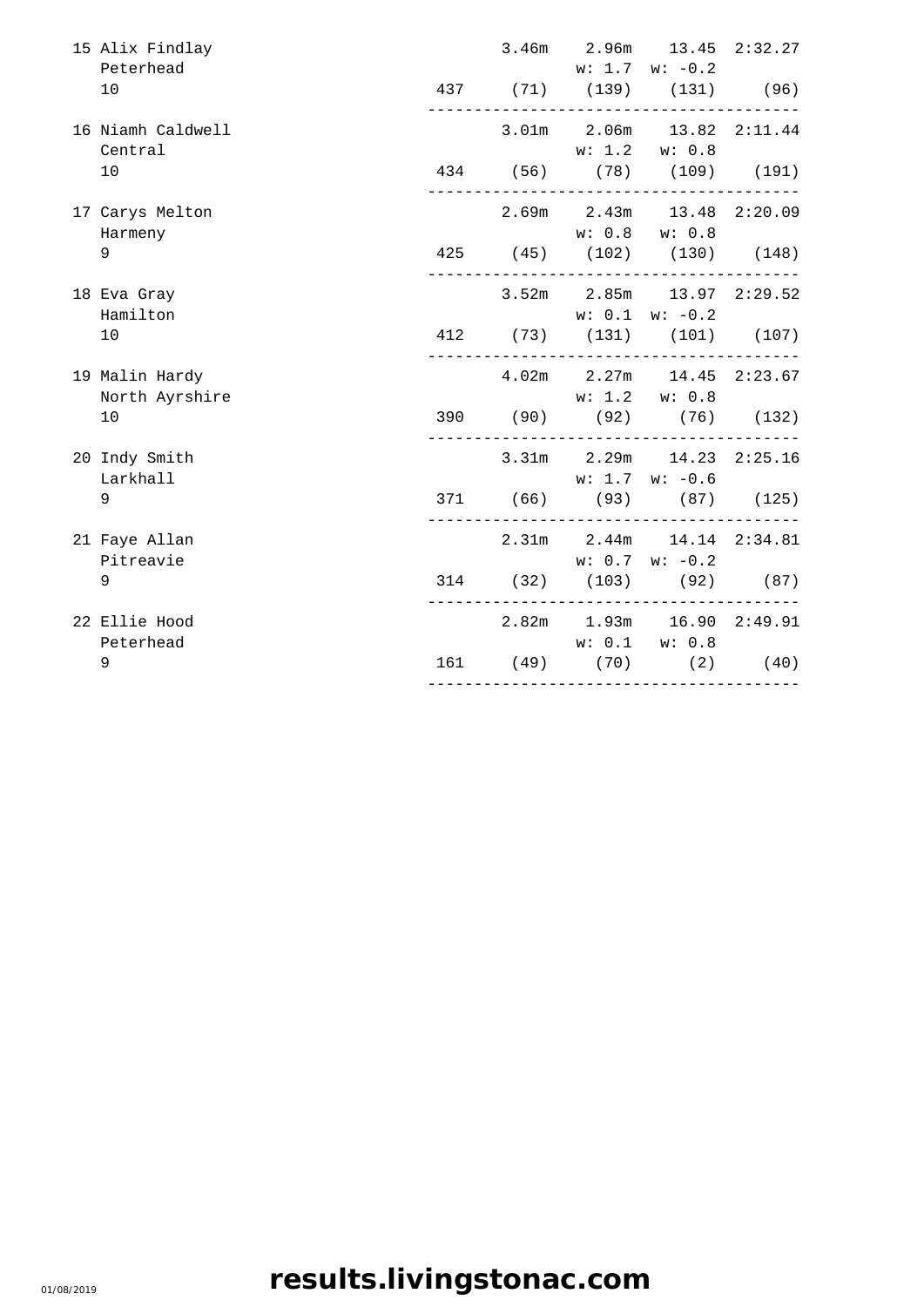| 15 Alix Findlay<br>Peterhead     |  | 3.46m 2.96m 13.45 2:32.27<br>$w: 1.7 \quad w: -0.2$                |  |
|----------------------------------|--|--------------------------------------------------------------------|--|
| 10                               |  | 437 (71) (139) (131) (96)                                          |  |
| 16 Niamh Caldwell<br>Central     |  | 3.01m 2.06m 13.82 2:11.44<br>w: 1.2 w: 0.8                         |  |
| 10                               |  | 434 (56) (78) (109) (191)                                          |  |
| 17 Carys Melton<br>Harmeny       |  | 2.69m 2.43m 13.48 2:20.09<br>w: 0.8 w: 0.8                         |  |
| 9                                |  | 425 (45) (102) (130) (148)                                         |  |
| 18 Eva Gray<br>Hamilton          |  | 3.52m 2.85m 13.97 2:29.52<br>$w: 0.1 \quad w: -0.2$                |  |
| 10                               |  | 412 (73) (131) (101) (107)                                         |  |
| 19 Malin Hardy<br>North Ayrshire |  | 4.02m 2.27m 14.45 2:23.67<br>w: 1.2 w: 0.8                         |  |
| 10                               |  | 390 (90) (92) (76) (132)                                           |  |
| 20 Indy Smith<br>Larkhall        |  | 3.31m 2.29m 14.23 2:25.16<br>$w: 1.7 \quad w: -0.6$                |  |
| 9                                |  | 371 (66) (93) (87) (125)                                           |  |
| 21 Faye Allan<br>Pitreavie       |  | 2.31m 2.44m 14.14 2:34.81<br>$w: 0.7 \quad w: -0.2$                |  |
| 9                                |  | 314 (32) (103) (92) (87)<br>-------------------------------------- |  |
| 22 Ellie Hood                    |  | 2.82m 1.93m 16.90 2:49.91                                          |  |
| Peterhead<br>9                   |  | w: 0.1 w: 0.8<br>161 (49) (70) (2) (40)                            |  |
|                                  |  |                                                                    |  |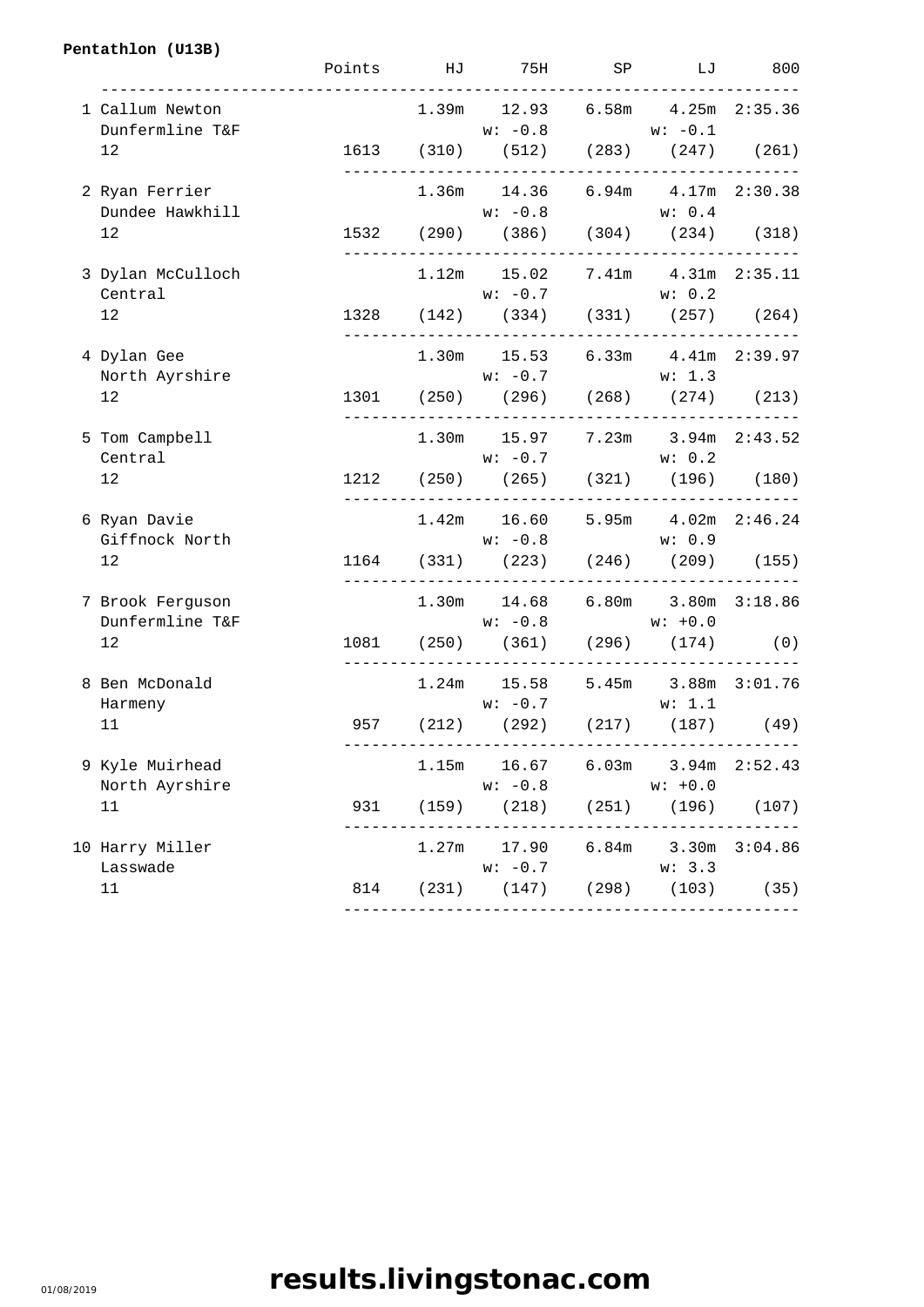#### **Pentathlon (U13B)**

|                                     |     |       | Points HJ 75H SP LJ 800                                         |       |                    |         |
|-------------------------------------|-----|-------|-----------------------------------------------------------------|-------|--------------------|---------|
| 1 Callum Newton<br>Dunfermline T&F  |     |       | 1.39m  12.93  6.58m  4.25m  2:35.36<br>$w: -0.8$ $w: -0.1$      |       |                    |         |
| 12                                  |     |       | 1613 (310) (512) (283) (247) (261)                              |       |                    |         |
| 2 Ryan Ferrier<br>Dundee Hawkhill   |     |       | 1.36m  14.36  6.94m  4.17m  2:30.38<br>$w: -0.8$ $w: 0.4$       |       |                    |         |
| 12                                  |     |       | 1532 (290) (386) (304) (234) (318)                              |       |                    |         |
| 3 Dylan McCulloch<br>Central        |     |       | $1.12m$ $15.02$ $7.41m$ $4.31m$ $2:35.11$<br>$w: -0.7$          |       | w: 0.2             |         |
| 12                                  |     |       | 1328 (142) (334) (331) (257) (264)                              |       |                    |         |
| 4 Dylan Gee<br>North Ayrshire       |     |       | 1.30m  15.53  6.33m  4.41m  2:39.97<br>$w: -0.7$                |       | w: 1.3             |         |
| 12                                  |     |       | 1301 (250) (296) (268) (274) (213)                              |       |                    |         |
| 5 Tom Campbell<br>Central           |     |       | 1.30m 15.97 7.23m 3.94m 2:43.52<br>$w: -0.7$ $w: 0.2$           |       |                    |         |
| $12 \overline{ }$                   |     |       | 1212 (250) (265) (321) (196) (180)                              |       |                    |         |
| 6 Ryan Davie<br>Giffnock North      |     |       | $1.42m$ $16.60$ $5.95m$ $4.02m$ $2:46.24$<br>$w: -0.8$ $w: 0.9$ |       |                    |         |
| 12                                  |     |       | 1164 (331) (223) (246) (209) (155)                              |       |                    |         |
| 7 Brook Ferguson<br>Dunfermline T&F |     |       | 1.30m  14.68  6.80m  3.80m  3:18.86<br>$w: -0.8$ $w: +0.0$      |       |                    |         |
| 12                                  |     |       | 1081 (250) (361) (296) (174) (0)                                |       |                    |         |
| 8 Ben McDonald<br>Harmeny           |     |       | 1.24m  15.58  5.45m  3.88m  3:01.76<br>$w: -0.7$                |       | w: 1.1             |         |
| 11                                  |     |       | 957 (212) (292) (217) (187) (49)                                |       |                    |         |
| 9 Kyle Muirhead<br>North Ayrshire   |     | 1.15m | 16.67<br>$w: -0.8$                                              | 6.03m | 3.94m<br>$w: +0.0$ | 2:52.43 |
| 11                                  | 931 |       | $(159)$ $(218)$ $(251)$ $(196)$                                 |       |                    | (107)   |
| 10 Harry Miller<br>Lasswade         |     |       | 1.27m  17.90  6.84m  3.30m  3:04.86<br>$w: -0.7$                |       | w: 3.3             |         |
| 11                                  |     |       | 814 (231) (147) (298) (103) (35)                                |       |                    |         |
|                                     |     |       |                                                                 |       |                    |         |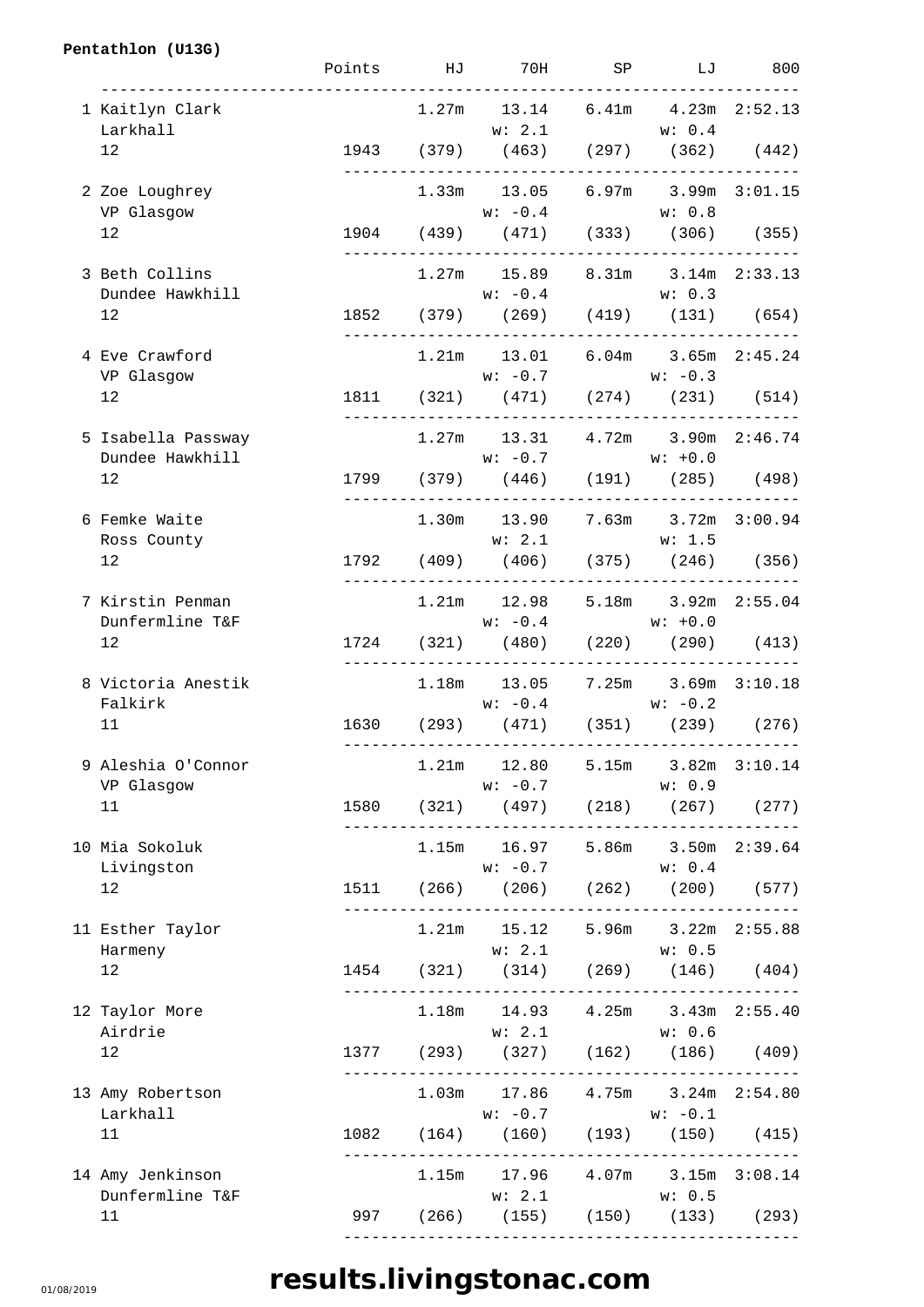#### **Pentathlon (U13G)**

|  |                                       | Points HJ |           | 70H SP LJ 800                                              |  |
|--|---------------------------------------|-----------|-----------|------------------------------------------------------------|--|
|  | 1 Kaitlyn Clark<br>Larkhall           |           |           | $1.27m$ $13.14$ $6.41m$ $4.23m$ $2:52.13$<br>w: 2.1 w: 0.4 |  |
|  | 12                                    |           |           | 1943 (379) (463) (297) (362) (442)                         |  |
|  | 2 Zoe Loughrey<br>VP Glasgow          |           |           | 1.33m 13.05 6.97m 3.99m 3:01.15<br>$w: -0.4$ $w: 0.8$      |  |
|  | 12                                    |           |           | 1904 (439) (471) (333) (306) (355)                         |  |
|  | 3 Beth Collins<br>Dundee Hawkhill     |           |           | 1.27m  15.89  8.31m  3.14m  2:33.13<br>$w: -0.4$ $w: 0.3$  |  |
|  | $12 \overline{ }$                     |           |           | 1852 (379) (269) (419) (131) (654)                         |  |
|  | 4 Eve Crawford<br>VP Glasgow<br>12    |           |           | 1.21m  13.01  6.04m  3.65m  2:45.24<br>$w: -0.7$ $w: -0.3$ |  |
|  |                                       |           |           | 1811 (321) (471) (274) (231) (514)                         |  |
|  | 5 Isabella Passway<br>Dundee Hawkhill |           |           | 1.27m  13.31  4.72m  3.90m  2:46.74<br>$w: -0.7$ $w: +0.0$ |  |
|  | 12                                    |           |           | 1799 (379) (446) (191) (285) (498)                         |  |
|  | 6 Femke Waite<br>Ross County          |           |           | $1.30m$ $13.90$ $7.63m$ $3.72m$ $3:00.94$<br>w: 2.1 w: 1.5 |  |
|  | 12                                    |           |           | 1792 (409) (406) (375) (246) (356)                         |  |
|  | 7 Kirstin Penman<br>Dunfermline T&F   |           |           | 1.21m  12.98  5.18m  3.92m  2:55.04<br>$w: -0.4$ $w: +0.0$ |  |
|  | 12                                    |           |           | $1724$ (321) (480) (220) (290) (413)                       |  |
|  | 8 Victoria Anestik<br>Falkirk<br>11   |           | $w: -0.4$ | 1.18m  13.05  7.25m  3.69m  3:10.18<br>$w: -0.2$           |  |
|  |                                       |           |           | 1630 (293) (471) (351) (239) (276)                         |  |
|  | 9 Aleshia O'Connor<br>VP Glasgow      |           |           | 1.21m  12.80  5.15m  3.82m  3:10.14<br>$w: -0.7$ $w: 0.9$  |  |
|  | 11                                    |           |           | 1580 (321) (497) (218) (267) (277)                         |  |
|  | 10 Mia Sokoluk<br>Livingston          |           |           | 1.15m  16.97  5.86m  3.50m  2:39.64<br>$w: -0.7$ $w: 0.4$  |  |
|  | 12                                    |           |           | 1511 (266) (206) (262) (200) (577)                         |  |
|  | 11 Esther Taylor<br>Harmeny           |           |           | 1.21m  15.12  5.96m  3.22m  2:55.88<br>w: 2.1 w: 0.5       |  |
|  | 12                                    |           |           | 1454 (321) (314) (269) (146) (404)                         |  |
|  | 12 Taylor More<br>Airdrie             |           |           | 1.18m  14.93  4.25m  3.43m  2:55.40<br>w: 2.1 w: 0.6       |  |
|  | 12                                    |           |           | 1377 (293) (327) (162) (186) (409)                         |  |
|  | 13 Amy Robertson<br>Larkhall          |           | $w: -0.7$ | 1.03m  17.86  4.75m  3.24m  2:54.80<br>$w: -0.1$           |  |
|  | 11                                    |           |           | 1082 (164) (160) (193) (150) (415)                         |  |
|  | 14 Amy Jenkinson<br>Dunfermline T&F   |           |           | 1.15m  17.96  4.07m  3.15m  3:08.14<br>w: 2.1 w: 0.5       |  |
|  | 11                                    |           |           | 997 (266) (155) (150) (133) (293)                          |  |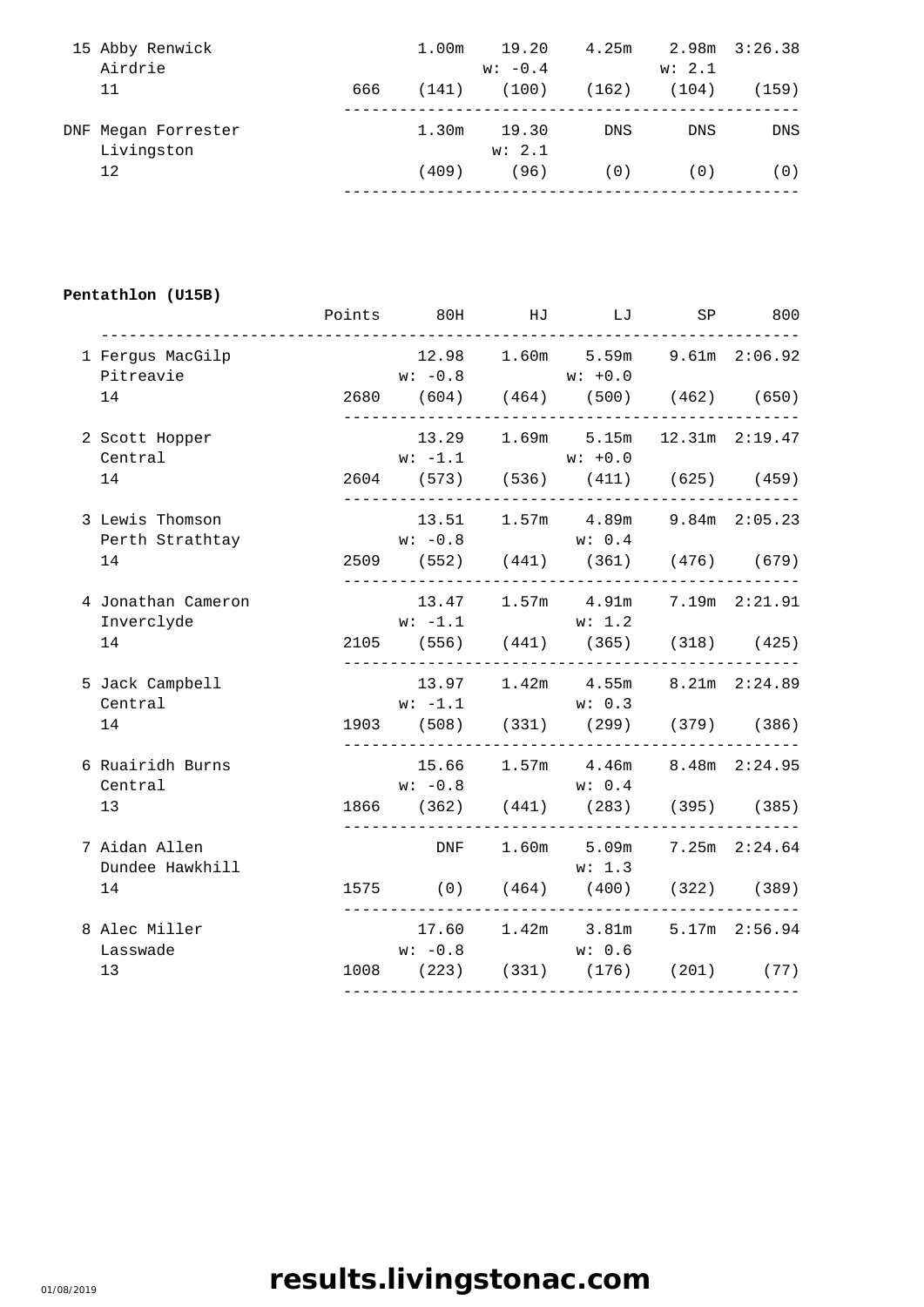|     | 15 Abby Renwick |     | 1.00 <sub>m</sub> | 19.20     | 4.25m      |            | $2.98m$ $3:26.38$ |
|-----|-----------------|-----|-------------------|-----------|------------|------------|-------------------|
|     | Airdrie         |     |                   | $w: -0.4$ |            | w: 2.1     |                   |
|     | 11              | 666 | (141)             | (100)     | (162)      | (104)      | (159)             |
| DNF | Megan Forrester |     | 1.30 <sub>m</sub> | 19.30     | <b>DNS</b> | <b>DNS</b> | <b>DNS</b>        |
|     | Livingston      |     |                   | w: 2.1    |            |            |                   |
|     | 12              |     | (409)             | (96)      | (0)        | (0)        | (0)               |
|     |                 |     |                   |           |            |            |                   |

#### **Pentathlon (U15B)**

|                                    | Points 80H HJ                                          | LJ                                        | SP 800 |  |
|------------------------------------|--------------------------------------------------------|-------------------------------------------|--------|--|
| 1 Fergus MacGilp<br>Pitreavie      | $w: -0.8$ $w: +0.0$                                    | 12.98  1.60m  5.59m  9.61m  2:06.92       |        |  |
| 14                                 | 2680 (604) (464) (500) (462) (650)                     |                                           |        |  |
| 2 Scott Hopper<br>Central          | $w: -1.1$ $w: +0.0$                                    | 13.29 1.69m 5.15m 12.31m 2:19.47          |        |  |
| 14                                 | 2604 (573) (536) (411) (625) (459)                     |                                           |        |  |
| 3 Lewis Thomson<br>Perth Strathtay | $w: -0.8$ $w: 0.4$                                     | 13.51  1.57m  4.89m  9.84m  2:05.23       |        |  |
| 14                                 | 2509 (552) (441) (361) (476) (679)                     |                                           |        |  |
| 4 Jonathan Cameron<br>Inverclyde   | $w: -1.1$                                              | 13.47 1.57m 4.91m 7.19m 2:21.91<br>w: 1.2 |        |  |
| 14                                 | 2105 (556) (441) (365) (318) (425)                     |                                           |        |  |
| 5 Jack Campbell<br>Central         | $13.97$ $1.42m$ $4.55m$ $8.21m$ $2:24.89$<br>$w: -1.1$ | w: 0.3                                    |        |  |
| 14                                 | 1903 (508) (331) (299) (379) (386)                     |                                           |        |  |
| 6 Ruairidh Burns<br>Central        | 15.66  1.57m  4.46m  8.48m  2:24.95<br>$w: -0.8$       | w: 0.4                                    |        |  |
| 13                                 | 1866 (362) (441) (283) (395) (385)                     |                                           |        |  |
| 7 Aidan Allen<br>Dundee Hawkhill   |                                                        | DNF 1.60m 5.09m 7.25m 2:24.64<br>w: 1.3   |        |  |
| 14                                 | 1575 (0) (464) (400) (322) (389)                       |                                           |        |  |
| 8 Alec Miller<br>Lasswade          | $w: -0.8$ $w: 0.6$                                     | 17.60  1.42m  3.81m  5.17m  2:56.94       |        |  |
| 13                                 | 1008 (223) (331) (176) (201) (77)                      |                                           |        |  |
|                                    |                                                        |                                           |        |  |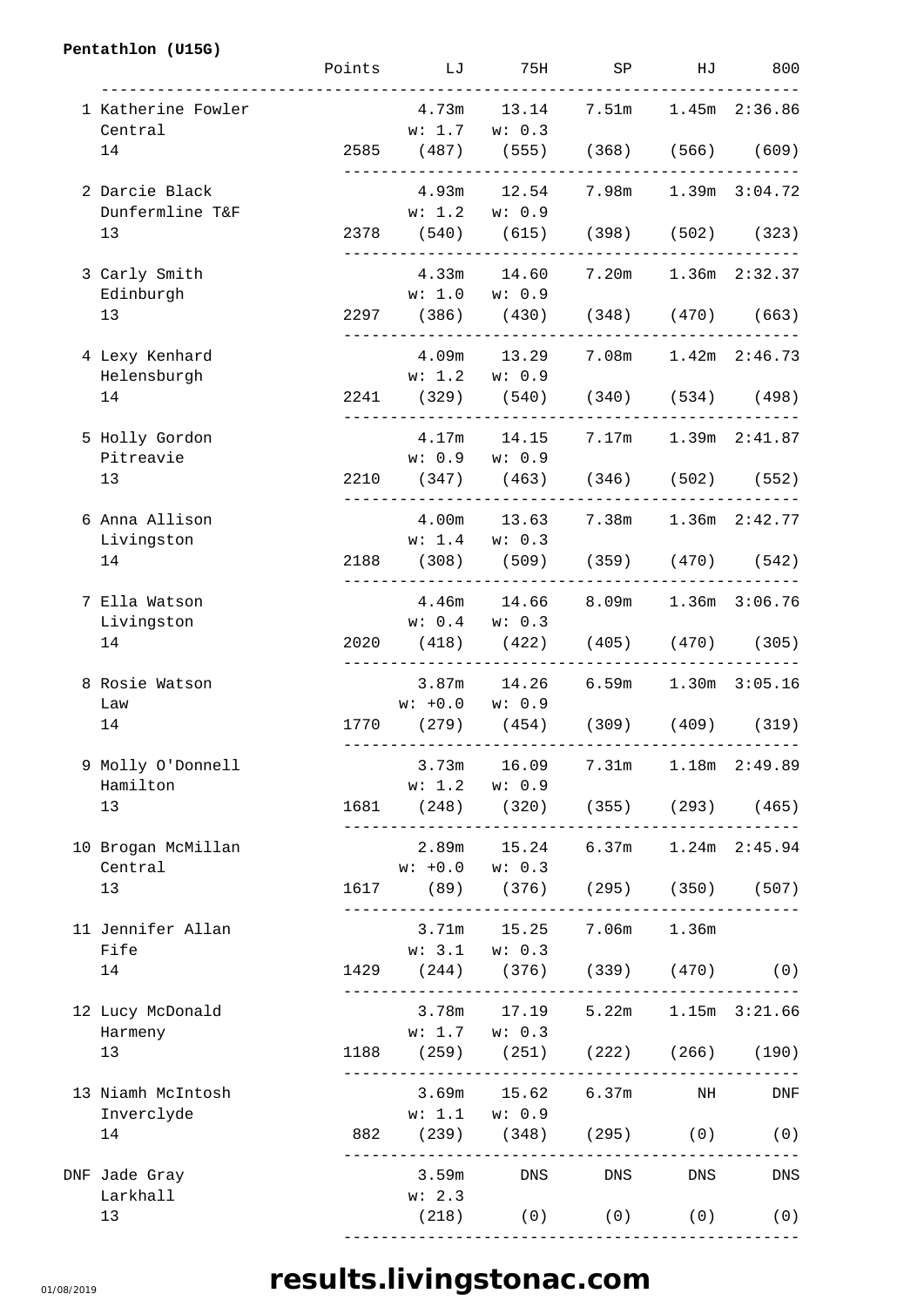#### **Pentathlon (U15G)**

|                                   | Points | LJ                                                   | 75H                         | SP                                  | HJ | 800            |
|-----------------------------------|--------|------------------------------------------------------|-----------------------------|-------------------------------------|----|----------------|
| 1 Katherine Fowler<br>Central     |        | w: 1.7 w: 0.3                                        |                             | 4.73m 13.14 7.51m 1.45m 2:36.86     |    |                |
| 14                                |        | 2585 (487) (555) (368) (566) (609)                   |                             |                                     |    |                |
| 2 Darcie Black<br>Dunfermline T&F |        | w: 1.2 w: 0.9                                        |                             | 4.93m 12.54 7.98m 1.39m 3:04.72     |    |                |
| 13                                |        | 2378 (540) (615) (398) (502) (323)                   |                             |                                     |    |                |
| 3 Carly Smith<br>Edinburgh        |        |                                                      | w: 1.0 w: 0.9               | 4.33m 14.60 7.20m 1.36m 2:32.37     |    |                |
| 13                                |        | 2297 (386) (430) (348) (470) (663)                   |                             |                                     |    |                |
| 4 Lexy Kenhard<br>Helensburgh     |        | w: 1.2 w: 0.9                                        |                             | 4.09m  13.29  7.08m  1.42m  2:46.73 |    |                |
| 14                                |        | 2241 (329) (540) (340) (534) (498)                   |                             |                                     |    |                |
| 5 Holly Gordon<br>Pitreavie       |        | 4.17m  14.15  7.17m  1.39m  2:41.87<br>w: 0.9 w: 0.9 |                             |                                     |    |                |
| 13                                |        | 2210 (347) (463) (346) (502) (552)                   |                             |                                     |    |                |
| 6 Anna Allison<br>Livingston      |        | w: 1.4 w: 0.3                                        |                             | 4.00m  13.63  7.38m  1.36m  2:42.77 |    |                |
| 14                                |        | 2188 (308) (509) (359) (470) (542)                   |                             |                                     |    |                |
| 7 Ella Watson<br>Livingston       |        | w: 0.4 w: 0.3                                        |                             | 4.46m  14.66  8.09m  1.36m  3:06.76 |    |                |
| 14                                |        | 2020 (418) (422) (405) (470) (305)                   |                             |                                     |    |                |
| 8 Rosie Watson<br>Law             |        | $w: +0.0 \t w: 0.9$                                  |                             | 3.87m 14.26 6.59m 1.30m 3:05.16     |    |                |
| 14                                |        | 1770 (279) (454) (309) (409) (319)                   |                             |                                     |    |                |
| 9 Molly O'Donnell<br>Hamilton     |        | 3.73m                                                | 16.09<br>$w: 1.2 \t w: 0.9$ | 7.31m                               |    | 1.18m  2:49.89 |
| 13                                |        | 1681 (248) (320) (355) (293) (465)                   |                             |                                     |    |                |
| 10 Brogan McMillan<br>Central     |        |                                                      | $w: +0.0 \t w: 0.3$         | 2.89m 15.24 6.37m 1.24m 2:45.94     |    |                |
| 13                                |        | 1617 (89) (376) (295) (350) (507)                    |                             |                                     |    |                |
| 11 Jennifer Allan<br>Fife         |        | w: 3.1 w: 0.3                                        |                             | 3.71m  15.25  7.06m  1.36m          |    |                |
| 14                                |        | 1429 (244) (376) (339) (470) (0)                     |                             |                                     |    |                |
| 12 Lucy McDonald<br>Harmeny       |        | w: 1.7 w: 0.3                                        |                             | 3.78m  17.19  5.22m  1.15m  3:21.66 |    |                |
| 13                                |        | 1188 (259) (251) (222) (266) (190)                   |                             |                                     |    |                |
| 13 Niamh McIntosh<br>Inverclyde   |        | w: 1.1 w: 0.9                                        |                             | $3.69m$ $15.62$ $6.37m$ NH          |    | DNF            |
| 14                                |        | 882 (239) (348) (295) (0) (0)                        |                             |                                     |    |                |
| DNF Jade Gray<br>Larkhall         |        | w: 2.3                                               |                             | 3.59m DNS DNS DNS                   |    | <b>DNS</b>     |
| 13                                |        |                                                      |                             | $(218)$ $(0)$ $(0)$ $(0)$ $(0)$     |    |                |
|                                   |        |                                                      |                             |                                     |    |                |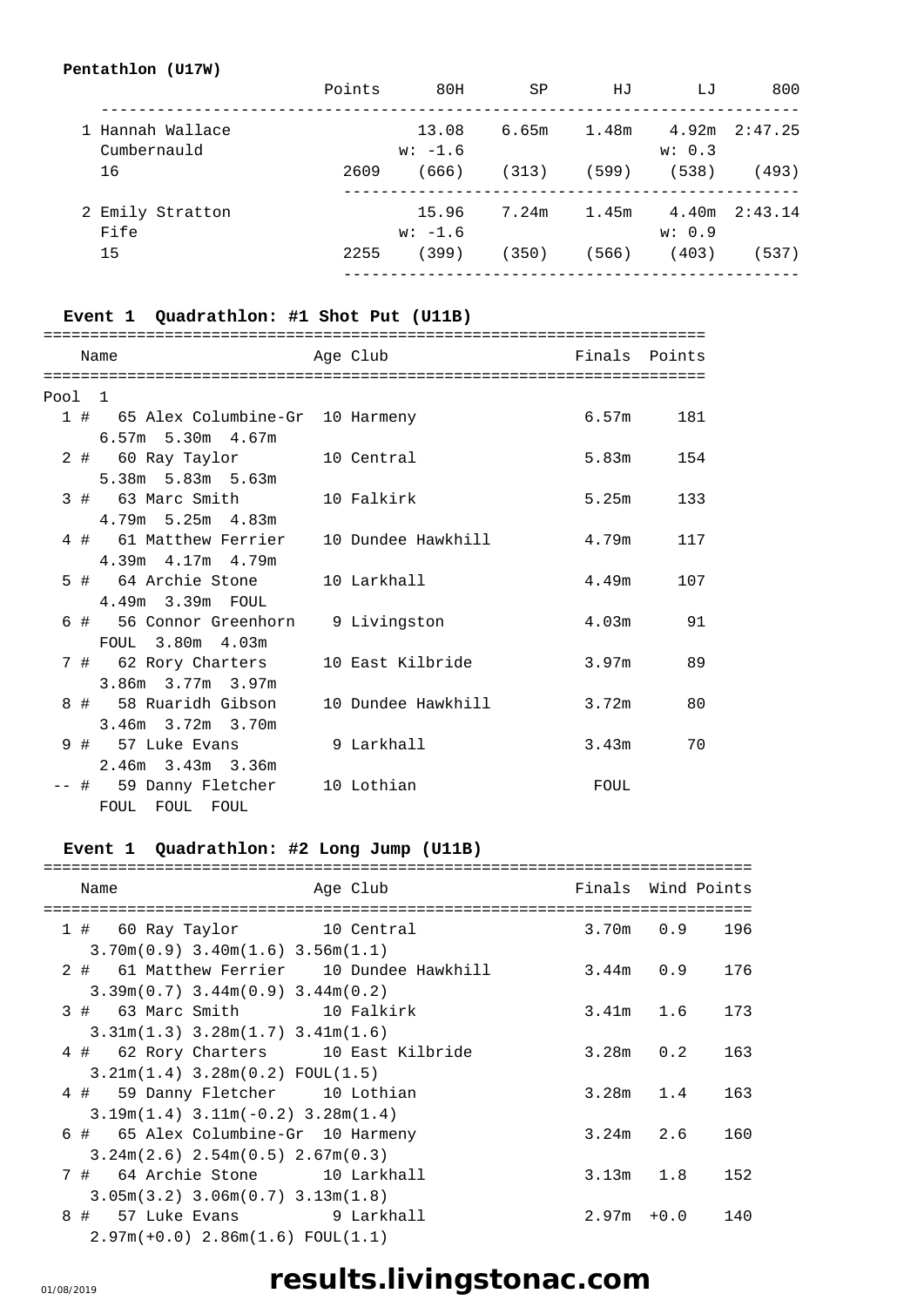#### **Pentathlon (U17W)**

|                                 | Points | 80H                | SP    | ΗJ    | LJ              | 800               |
|---------------------------------|--------|--------------------|-------|-------|-----------------|-------------------|
| 1 Hannah Wallace<br>Cumbernauld |        | 13.08<br>$w: -1.6$ | 6.65m | 1.48m | w: 0.3          | $4.92m$ $2:47.25$ |
| 16                              | 2609   | (666)              | (313) | (599) | (538)           | (493)             |
| 2 Emily Stratton<br>Fife        |        | 15.96<br>$w: -1.6$ | 7.24m | 1.45m | 4.40m<br>w: 0.9 | 2:43.14           |
| 15                              | 2255   | (399)              | (350) | (566) | (403)           | (537)             |

### **Event 1 Quadrathlon: #1 Shot Put (U11B)**

|        | Name                                      |  | Age Club           | Finals Points     |            |  |  |  |  |  |
|--------|-------------------------------------------|--|--------------------|-------------------|------------|--|--|--|--|--|
|        |                                           |  |                    |                   |            |  |  |  |  |  |
| Pool 1 |                                           |  |                    |                   |            |  |  |  |  |  |
|        | 1 # 65 Alex Columbine-Gr 10 Harmeny       |  |                    |                   | 6.57m 181  |  |  |  |  |  |
|        | $6.57m$ 5.30m 4.67m                       |  |                    |                   |            |  |  |  |  |  |
|        | 2 # 60 Ray Taylor 10 Central              |  |                    |                   | 5.83m 154  |  |  |  |  |  |
|        | 5.38m 5.83m 5.63m                         |  |                    |                   |            |  |  |  |  |  |
|        | 3 # 63 Marc Smith 10 Falkirk              |  |                    |                   | 5.25m 133  |  |  |  |  |  |
|        | $4.79m$ 5.25m $4.83m$                     |  |                    |                   |            |  |  |  |  |  |
|        | 4 # 61 Matthew Ferrier 10 Dundee Hawkhill |  |                    |                   | 4.79m 117  |  |  |  |  |  |
|        | 4.39m 4.17m 4.79m                         |  |                    |                   |            |  |  |  |  |  |
|        | 5 # 64 Archie Stone 10 Larkhall           |  |                    |                   | 4.49m 107  |  |  |  |  |  |
|        | 4.49m 3.39m FOUL                          |  |                    |                   |            |  |  |  |  |  |
|        | 6 # 56 Connor Greenhorn 9 Livingston      |  |                    | 4.03 <sub>m</sub> | 91         |  |  |  |  |  |
|        | FOUL 3.80m 4.03m                          |  |                    |                   |            |  |  |  |  |  |
|        | 7 # 62 Rory Charters 10 East Kilbride     |  |                    |                   | $3.97m$ 89 |  |  |  |  |  |
|        | 3.86m 3.77m 3.97m                         |  |                    |                   |            |  |  |  |  |  |
|        | 8 # 58 Ruaridh Gibson                     |  | 10 Dundee Hawkhill | 3.72m             | 80         |  |  |  |  |  |
|        | 3.46m 3.72m 3.70m                         |  |                    |                   |            |  |  |  |  |  |
|        | 9 # 57 Luke Evans 9 Larkhall              |  |                    | 3.43m             | 70         |  |  |  |  |  |
|        | $2.46m$ $3.43m$ $3.36m$                   |  |                    |                   |            |  |  |  |  |  |
|        | -- # 59 Danny Fletcher 10 Lothian         |  |                    | FOUL              |            |  |  |  |  |  |
|        | FOUL FOUL FOUL                            |  |                    |                   |            |  |  |  |  |  |

### **Event 1 Quadrathlon: #2 Long Jump (U11B)**

|  | Name<br>===========================                                                                                  | Age Club | Finals Wind Points |               |               |
|--|----------------------------------------------------------------------------------------------------------------------|----------|--------------------|---------------|---------------|
|  | 1 # 60 Ray Taylor 10 Central<br>$3.70m(0.9)$ $3.40m(1.6)$ $3.56m(1.1)$                                               |          |                    |               | 3.70m 0.9 196 |
|  | 2 # 61 Matthew Ferrier 10 Dundee Hawkhill<br>$3.39m(0.7)$ $3.44m(0.9)$ $3.44m(0.2)$                                  |          | $3.44m$ 0.9        |               | 176           |
|  | 3 # 63 Marc Smith 10 Falkirk<br>$3.31m(1.3)$ $3.28m(1.7)$ $3.41m(1.6)$                                               |          | 3.41m 1.6          |               | 173           |
|  | 4 # 62 Rory Charters 10 East Kilbride                                                                                |          | $3.28m$ 0.2        |               | 163           |
|  | $3.21m(1.4)$ $3.28m(0.2)$ $FOUL(1.5)$<br>4 # 59 Danny Fletcher 10 Lothian                                            |          | $3.28m$ 1.4        |               | 163           |
|  | $3.19m(1.4)$ $3.11m(-0.2)$ $3.28m(1.4)$<br>6 # 65 Alex Columbine-Gr 10 Harmeny                                       |          |                    | $3.24m$ 2.6   | 160           |
|  | $3.24m(2.6)$ $2.54m(0.5)$ $2.67m(0.3)$<br>7 # 64 Archie Stone 10 Larkhall                                            |          |                    | $3.13m$ 1.8   | 152           |
|  | $3.05m(3.2)$ 3.06 $m(0.7)$ 3.13 $m(1.8)$<br>8 # 57 Luke Evans 9 Larkhall<br>$2.97m(+0.0)$ 2.86 $m(1.6)$ FOUL $(1.1)$ |          |                    | $2.97m + 0.0$ | 140           |
|  |                                                                                                                      |          |                    |               |               |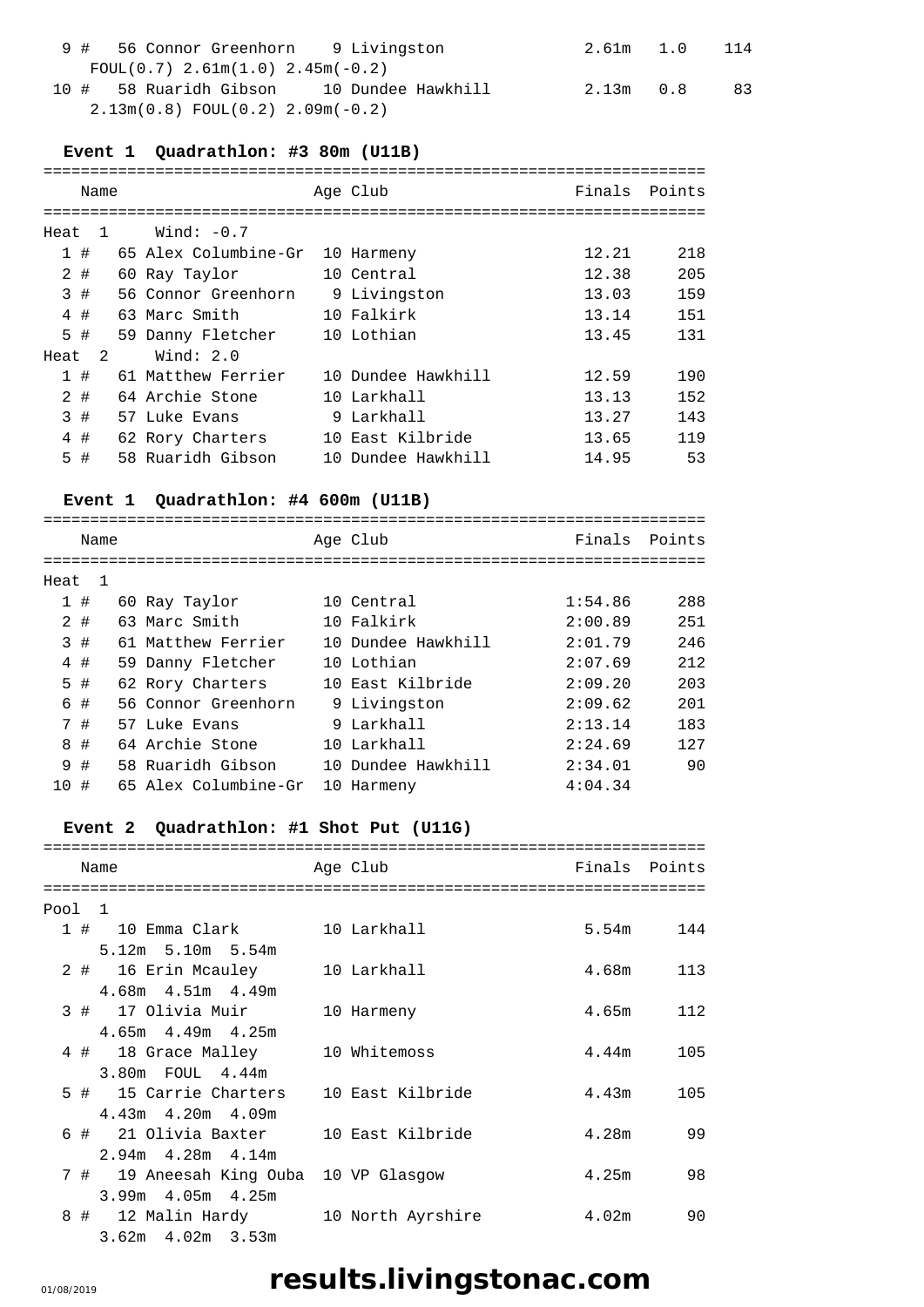| 9 # 56 Connor Greenhorn 9 Livingston     |                                           | 2.61m 1.0 | 114 |
|------------------------------------------|-------------------------------------------|-----------|-----|
| $FOUL(0.7)$ 2.61m $(1.0)$ 2.45m $(-0.2)$ |                                           |           |     |
|                                          | 10 # 58 Ruaridh Gibson 10 Dundee Hawkhill | 2.13m 0.8 | 83  |
| $2.13m(0.8)$ FOUL $(0.2)$ $2.09m(-0.2)$  |                                           |           |     |

#### **Event 1 Quadrathlon: #3 80m (U11B)**

|      |    | Name           |                      | Age Club           | Finals | Points |
|------|----|----------------|----------------------|--------------------|--------|--------|
|      |    |                |                      |                    |        |        |
| Heat |    |                | Wind: $-0.7$         |                    |        |        |
|      | 1# |                | 65 Alex Columbine-Gr | 10 Harmeny         | 12.21  | 218    |
|      | 2# |                | 60 Ray Taylor        | 10 Central         | 12.38  | 205    |
|      | 3# |                | 56 Connor Greenhorn  | 9 Livingston       | 13.03  | 159    |
|      | 4# |                | 63 Marc Smith        | 10 Falkirk         | 13.14  | 151    |
|      | 5# |                | 59 Danny Fletcher    | 10 Lothian         | 13.45  | 131    |
| Heat |    | $\overline{2}$ | Wind: 2.0            |                    |        |        |
|      | 1# |                | 61 Matthew Ferrier   | 10 Dundee Hawkhill | 12.59  | 190    |
|      | 2# |                | 64 Archie Stone      | 10 Larkhall        | 13.13  | 152    |
|      | 3# |                | 57 Luke Evans        | 9 Larkhall         | 13.27  | 143    |
|      | 4# |                | 62 Rory Charters     | 10 East Kilbride   | 13.65  | 119    |
| 5    | #  |                | 58 Ruaridh Gibson    | 10 Dundee Hawkhill | 14.95  | 53     |

### **Event 1 Quadrathlon: #4 600m (U11B)**

|        |  |                      |  |                                                                                                                                                                                                       |         | Finals                                                                                                                                                       | Points |
|--------|--|----------------------|--|-------------------------------------------------------------------------------------------------------------------------------------------------------------------------------------------------------|---------|--------------------------------------------------------------------------------------------------------------------------------------------------------------|--------|
|        |  |                      |  |                                                                                                                                                                                                       |         |                                                                                                                                                              |        |
| Heat   |  |                      |  |                                                                                                                                                                                                       |         |                                                                                                                                                              |        |
| 1#     |  |                      |  |                                                                                                                                                                                                       |         | 1:54.86                                                                                                                                                      | 288    |
| 2#     |  |                      |  |                                                                                                                                                                                                       |         | 2:00.89                                                                                                                                                      | 251    |
| 3#     |  |                      |  |                                                                                                                                                                                                       |         | 2:01.79                                                                                                                                                      | 246    |
| #<br>4 |  |                      |  |                                                                                                                                                                                                       |         | 2:07.69                                                                                                                                                      | 212    |
| #<br>5 |  |                      |  |                                                                                                                                                                                                       |         | 2:09.20                                                                                                                                                      | 203    |
| #      |  |                      |  |                                                                                                                                                                                                       |         | 2:09.62                                                                                                                                                      | 201    |
| 7#     |  |                      |  |                                                                                                                                                                                                       |         | 2:13.14                                                                                                                                                      | 183    |
| #      |  |                      |  |                                                                                                                                                                                                       |         | 2:24.69                                                                                                                                                      | 127    |
| #      |  |                      |  | 1 O                                                                                                                                                                                                   |         | 2:34.01                                                                                                                                                      | 90     |
| 10 #   |  |                      |  | 10                                                                                                                                                                                                    | Harmeny | 4:04.34                                                                                                                                                      |        |
|        |  | Name<br>$\mathbf{1}$ |  | 60 Ray Taylor<br>63 Marc Smith<br>61 Matthew Ferrier<br>59 Danny Fletcher<br>62 Rory Charters<br>56 Connor Greenhorn<br>57 Luke Evans<br>64 Archie Stone<br>58 Ruaridh Gibson<br>65 Alex Columbine-Gr |         | Age Club<br>10 Central<br>10 Falkirk<br>10 Dundee Hawkhill<br>10 Lothian<br>10 East Kilbride<br>9 Livingston<br>9 Larkhall<br>10 Larkhall<br>Dundee Hawkhill |        |

### **Event 2 Quadrathlon: #1 Shot Put (U11G)**

|        | Name                                   | Age Club          | Finals Points |           |
|--------|----------------------------------------|-------------------|---------------|-----------|
|        |                                        |                   |               |           |
| Pool 1 |                                        |                   |               |           |
|        | 1 # 10 Emma Clark                      | 10 Larkhall       |               | 5.54m 144 |
|        | $5.12m$ $5.10m$ $5.54m$                |                   |               |           |
|        | 2 # 16 Erin Mcauley 10 Larkhall        |                   | 4.68m         | 113       |
|        | $4.68m$ $4.51m$ $4.49m$                |                   |               |           |
|        | 3 # 17 Olivia Muir                     | 10 Harmeny        | 4.65m         | 112       |
|        | $4.65m$ $4.49m$ $4.25m$                |                   |               |           |
|        | 4 # 18 Grace Malley 10 Whitemoss       |                   | 4.44m         | 105       |
|        | 3.80m FOUL 4.44m                       |                   |               |           |
|        | 5 # 15 Carrie Charters                 | 10 East Kilbride  | 4.43m         | 105       |
|        | $4.43m$ $4.20m$ $4.09m$                |                   |               |           |
|        | 6 # 21 Olivia Baxter 10 East Kilbride  |                   | 4.28m         | 99        |
|        | $2.94m$ 4.28m 4.14m                    |                   |               |           |
|        | 7 # 19 Aneesah King Ouba 10 VP Glasgow |                   | 4.25m         | 98        |
|        | $3.99m$ 4.05m 4.25m                    |                   |               |           |
|        | 8 # 12 Malin Hardy                     | 10 North Ayrshire | 4.02m         | 90        |
|        | $3.62m$ 4.02m 3.53m                    |                   |               |           |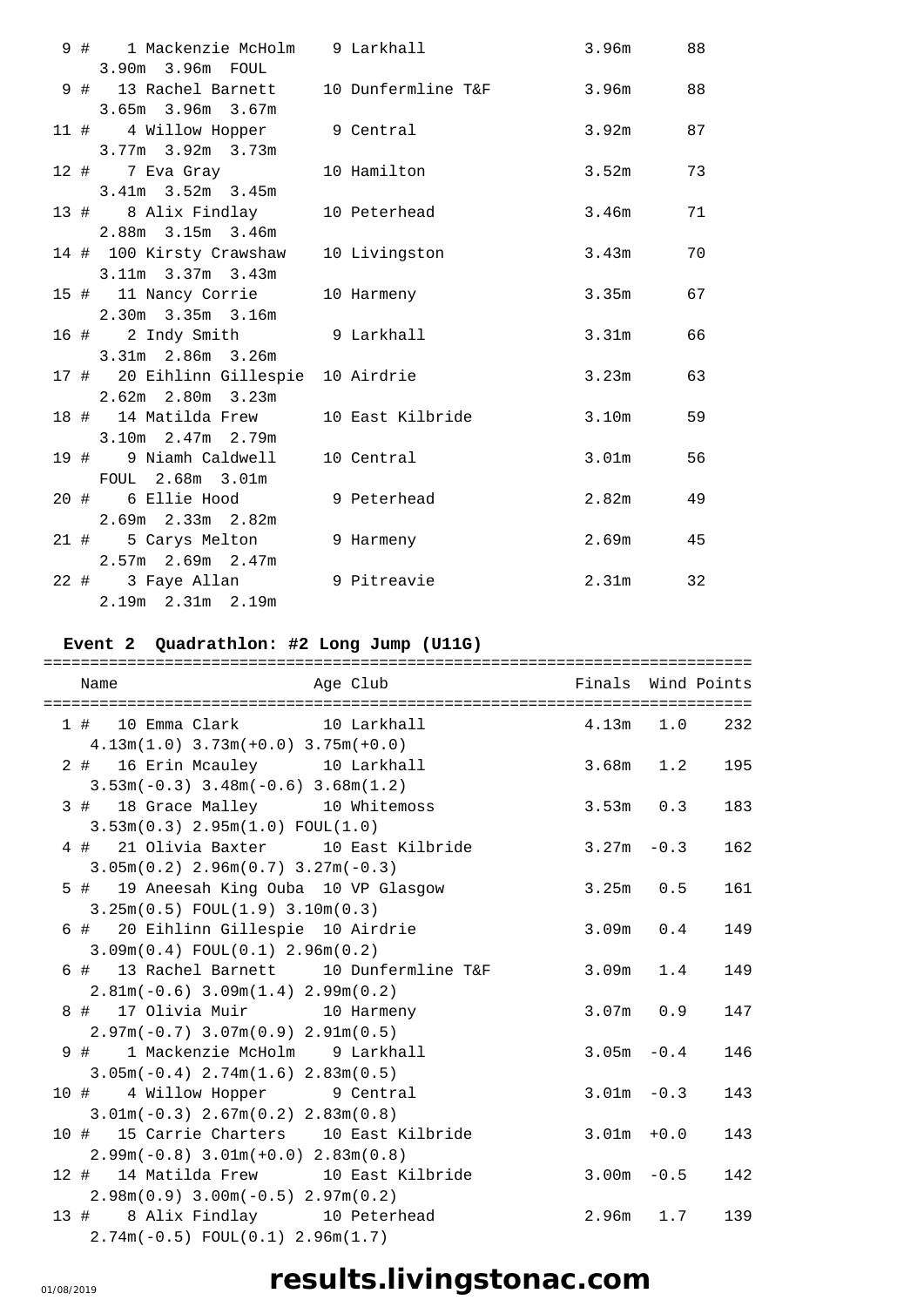|  | 9 # 1 Mackenzie McHolm 9 Larkhall      |                                                   | 3.96m 88   |    |
|--|----------------------------------------|---------------------------------------------------|------------|----|
|  | 3.90m 3.96m FOUL                       |                                                   |            |    |
|  |                                        | 9 # 13 Rachel Barnett 10 Dunfermline T&F 3.96m 88 |            |    |
|  | 3.65m 3.96m 3.67m                      |                                                   |            |    |
|  | 11 # 4 Willow Hopper 9 Central         |                                                   | $3.92m$ 87 |    |
|  | $3.77m$ $3.92m$ $3.73m$                |                                                   |            |    |
|  | 12 # 7 Eva Gray 10 Hamilton            |                                                   | $3.52m$ 73 |    |
|  | 3.41m 3.52m 3.45m                      |                                                   |            |    |
|  | 13 # 8 Alix Findlay 10 Peterhead       |                                                   | 3.46m      | 71 |
|  | 2.88m 3.15m 3.46m                      |                                                   |            |    |
|  | 14 # 100 Kirsty Crawshaw 10 Livingston |                                                   | 3.43m      | 70 |
|  | $3.11m$ $3.37m$ $3.43m$                |                                                   |            |    |
|  | 15 # 11 Nancy Corrie 10 Harmeny        |                                                   | 3.35m 67   |    |
|  | 2.30m 3.35m 3.16m                      |                                                   |            |    |
|  | 16 # 2 Indy Smith 9 Larkhall           |                                                   | $3.31m$ 66 |    |
|  | 3.31m 2.86m 3.26m                      |                                                   |            |    |
|  | 17 # 20 Eihlinn Gillespie 10 Airdrie   |                                                   | $3.23m$ 63 |    |
|  | $2.62m$ $2.80m$ $3.23m$                |                                                   |            |    |
|  | 18 # 14 Matilda Frew 10 East Kilbride  |                                                   | 3.10m      | 59 |
|  | 3.10m 2.47m 2.79m                      |                                                   |            |    |
|  | 19 # 9 Niamh Caldwell 10 Central       |                                                   | 3.01m      | 56 |
|  | FOUL 2.68m 3.01m                       |                                                   |            |    |
|  | 20 # 6 Ellie Hood 9 Peterhead          |                                                   | 2.82m      | 49 |
|  | $2.69m$ $2.33m$ $2.82m$                |                                                   |            |    |
|  | 21 # 5 Carys Melton 9 Harmeny          |                                                   | $2.69m$ 45 |    |
|  | 2.57m 2.69m 2.47m                      |                                                   |            |    |
|  | 22 # 3 Faye Allan 9 Pitreavie          |                                                   | 2.31m      | 32 |
|  | 2.19m 2.31m 2.19m                      |                                                   |            |    |

### **Event 2 Quadrathlon: #2 Long Jump (U11G)**

| Name |                                                                                                                                                                                                                                                                                                                                                                                                                                                                                                                                                                                                                                                                                                                                                                                                                                                                                                                                                                                                                                                                                                           |                                                                                                                                                                                                                                   |
|------|-----------------------------------------------------------------------------------------------------------------------------------------------------------------------------------------------------------------------------------------------------------------------------------------------------------------------------------------------------------------------------------------------------------------------------------------------------------------------------------------------------------------------------------------------------------------------------------------------------------------------------------------------------------------------------------------------------------------------------------------------------------------------------------------------------------------------------------------------------------------------------------------------------------------------------------------------------------------------------------------------------------------------------------------------------------------------------------------------------------|-----------------------------------------------------------------------------------------------------------------------------------------------------------------------------------------------------------------------------------|
|      |                                                                                                                                                                                                                                                                                                                                                                                                                                                                                                                                                                                                                                                                                                                                                                                                                                                                                                                                                                                                                                                                                                           |                                                                                                                                                                                                                                   |
|      |                                                                                                                                                                                                                                                                                                                                                                                                                                                                                                                                                                                                                                                                                                                                                                                                                                                                                                                                                                                                                                                                                                           |                                                                                                                                                                                                                                   |
|      |                                                                                                                                                                                                                                                                                                                                                                                                                                                                                                                                                                                                                                                                                                                                                                                                                                                                                                                                                                                                                                                                                                           |                                                                                                                                                                                                                                   |
|      |                                                                                                                                                                                                                                                                                                                                                                                                                                                                                                                                                                                                                                                                                                                                                                                                                                                                                                                                                                                                                                                                                                           | 195                                                                                                                                                                                                                               |
|      |                                                                                                                                                                                                                                                                                                                                                                                                                                                                                                                                                                                                                                                                                                                                                                                                                                                                                                                                                                                                                                                                                                           |                                                                                                                                                                                                                                   |
|      |                                                                                                                                                                                                                                                                                                                                                                                                                                                                                                                                                                                                                                                                                                                                                                                                                                                                                                                                                                                                                                                                                                           | 183                                                                                                                                                                                                                               |
|      |                                                                                                                                                                                                                                                                                                                                                                                                                                                                                                                                                                                                                                                                                                                                                                                                                                                                                                                                                                                                                                                                                                           |                                                                                                                                                                                                                                   |
|      |                                                                                                                                                                                                                                                                                                                                                                                                                                                                                                                                                                                                                                                                                                                                                                                                                                                                                                                                                                                                                                                                                                           | 162                                                                                                                                                                                                                               |
|      |                                                                                                                                                                                                                                                                                                                                                                                                                                                                                                                                                                                                                                                                                                                                                                                                                                                                                                                                                                                                                                                                                                           |                                                                                                                                                                                                                                   |
|      |                                                                                                                                                                                                                                                                                                                                                                                                                                                                                                                                                                                                                                                                                                                                                                                                                                                                                                                                                                                                                                                                                                           | 161                                                                                                                                                                                                                               |
|      |                                                                                                                                                                                                                                                                                                                                                                                                                                                                                                                                                                                                                                                                                                                                                                                                                                                                                                                                                                                                                                                                                                           |                                                                                                                                                                                                                                   |
|      |                                                                                                                                                                                                                                                                                                                                                                                                                                                                                                                                                                                                                                                                                                                                                                                                                                                                                                                                                                                                                                                                                                           | 149                                                                                                                                                                                                                               |
|      |                                                                                                                                                                                                                                                                                                                                                                                                                                                                                                                                                                                                                                                                                                                                                                                                                                                                                                                                                                                                                                                                                                           |                                                                                                                                                                                                                                   |
|      |                                                                                                                                                                                                                                                                                                                                                                                                                                                                                                                                                                                                                                                                                                                                                                                                                                                                                                                                                                                                                                                                                                           | 149                                                                                                                                                                                                                               |
|      |                                                                                                                                                                                                                                                                                                                                                                                                                                                                                                                                                                                                                                                                                                                                                                                                                                                                                                                                                                                                                                                                                                           |                                                                                                                                                                                                                                   |
|      |                                                                                                                                                                                                                                                                                                                                                                                                                                                                                                                                                                                                                                                                                                                                                                                                                                                                                                                                                                                                                                                                                                           | 147                                                                                                                                                                                                                               |
|      |                                                                                                                                                                                                                                                                                                                                                                                                                                                                                                                                                                                                                                                                                                                                                                                                                                                                                                                                                                                                                                                                                                           |                                                                                                                                                                                                                                   |
|      |                                                                                                                                                                                                                                                                                                                                                                                                                                                                                                                                                                                                                                                                                                                                                                                                                                                                                                                                                                                                                                                                                                           | 146                                                                                                                                                                                                                               |
|      |                                                                                                                                                                                                                                                                                                                                                                                                                                                                                                                                                                                                                                                                                                                                                                                                                                                                                                                                                                                                                                                                                                           |                                                                                                                                                                                                                                   |
|      |                                                                                                                                                                                                                                                                                                                                                                                                                                                                                                                                                                                                                                                                                                                                                                                                                                                                                                                                                                                                                                                                                                           | 143                                                                                                                                                                                                                               |
|      |                                                                                                                                                                                                                                                                                                                                                                                                                                                                                                                                                                                                                                                                                                                                                                                                                                                                                                                                                                                                                                                                                                           |                                                                                                                                                                                                                                   |
|      |                                                                                                                                                                                                                                                                                                                                                                                                                                                                                                                                                                                                                                                                                                                                                                                                                                                                                                                                                                                                                                                                                                           | 143                                                                                                                                                                                                                               |
|      |                                                                                                                                                                                                                                                                                                                                                                                                                                                                                                                                                                                                                                                                                                                                                                                                                                                                                                                                                                                                                                                                                                           |                                                                                                                                                                                                                                   |
|      |                                                                                                                                                                                                                                                                                                                                                                                                                                                                                                                                                                                                                                                                                                                                                                                                                                                                                                                                                                                                                                                                                                           | 142                                                                                                                                                                                                                               |
|      |                                                                                                                                                                                                                                                                                                                                                                                                                                                                                                                                                                                                                                                                                                                                                                                                                                                                                                                                                                                                                                                                                                           |                                                                                                                                                                                                                                   |
|      |                                                                                                                                                                                                                                                                                                                                                                                                                                                                                                                                                                                                                                                                                                                                                                                                                                                                                                                                                                                                                                                                                                           | 139                                                                                                                                                                                                                               |
|      |                                                                                                                                                                                                                                                                                                                                                                                                                                                                                                                                                                                                                                                                                                                                                                                                                                                                                                                                                                                                                                                                                                           |                                                                                                                                                                                                                                   |
|      | Age Club<br>1 # 10 Emma Clark 10 Larkhall<br>$4.13m(1.0)$ $3.73m(+0.0)$ $3.75m(+0.0)$<br>2 # 16 Erin Mcauley 10 Larkhall<br>$3.53m(-0.3)$ $3.48m(-0.6)$ $3.68m(1.2)$<br>3 # 18 Grace Malley 10 Whitemoss<br>$3.53m(0.3)$ $2.95m(1.0)$ FOUL $(1.0)$<br>4 # 21 Olivia Baxter 10 East Kilbride<br>$3.05m(0.2)$ 2.96 $m(0.7)$ 3.27 $m(-0.3)$<br>5 # 19 Aneesah King Ouba 10 VP Glasgow<br>$3.25m(0.5)$ FOUL $(1.9)$ 3.10m $(0.3)$<br>6 # 20 Eihlinn Gillespie 10 Airdrie<br>3.09m(0.4) FOUL(0.1) 2.96m(0.2)<br>6 # 13 Rachel Barnett 10 Dunfermline T&F<br>$2.81m(-0.6)$ 3.09 $m(1.4)$ 2.99 $m(0.2)$<br>8 # 17 Olivia Muir 10 Harmeny<br>$2.97m(-0.7)$ 3.07 $m(0.9)$ 2.91 $m(0.5)$<br>9 # 1 Mackenzie McHolm 9 Larkhall<br>$3.05m(-0.4)$ 2.74 $m(1.6)$ 2.83 $m(0.5)$<br>10 # 4 Willow Hopper 9 Central<br>$3.01m(-0.3)$ $2.67m(0.2)$ $2.83m(0.8)$<br>10 # 15 Carrie Charters 10 East Kilbride<br>$2.99m(-0.8)$ 3.01m(+0.0) 2.83m(0.8)<br>12 # 14 Matilda Frew 10 East Kilbride<br>$2.98m(0.9)$ 3.00m( $-0.5$ ) 2.97m( $0.2$ )<br>13 # 8 Alix Findlay 10 Peterhead<br>$2.74m(-0.5)$ FOUL $(0.1)$ 2.96m $(1.7)$ | Finals Wind Points<br>4.13m 1.0 232<br>$3.68m$ 1.2<br>$3.53m$ 0.3<br>$3.27m - 0.3$<br>$3.25m$ 0.5<br>$3.09m$ 0.4<br>$3.09m$ 1.4<br>$3.07m$ 0.9<br>$3.05m - 0.4$<br>$3.01m - 0.3$<br>$3.01m + 0.0$<br>$3.00m - 0.5$<br>$2.96m$ 1.7 |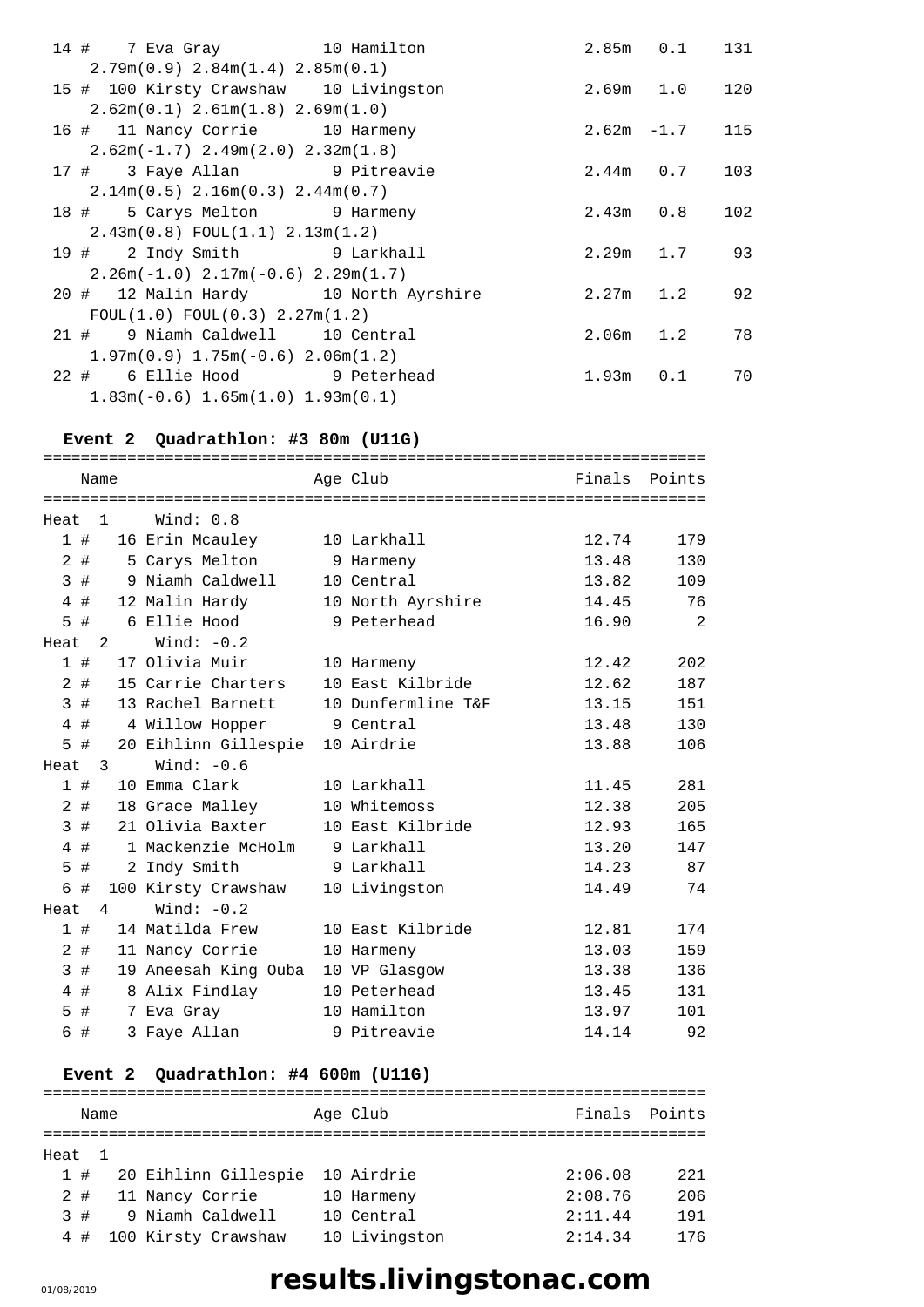| 14 # 7 Eva Gray 10 Hamilton              | $2.85m$ $0.1$     | 131 |
|------------------------------------------|-------------------|-----|
| $2.79m(0.9)$ $2.84m(1.4)$ $2.85m(0.1)$   |                   |     |
| 15 # 100 Kirsty Crawshaw 10 Livingston   | $2.69m$ $1.0$     | 120 |
| $2.62m(0.1)$ $2.61m(1.8)$ $2.69m(1.0)$   |                   |     |
| 16 # 11 Nancy Corrie 10 Harmeny          | $2.62m - 1.7$ 115 |     |
| $2.62m(-1.7)$ $2.49m(2.0)$ $2.32m(1.8)$  |                   |     |
| 17 # 3 Faye Allan 9 Pitreavie            | $2.44m$ 0.7       | 103 |
| $2.14m(0.5)$ $2.16m(0.3)$ $2.44m(0.7)$   |                   |     |
| 18 # 5 Carys Melton 9 Harmeny            | $2.43m$ 0.8       | 102 |
| $2.43m(0.8)$ FOUL $(1.1)$ $2.13m(1.2)$   |                   |     |
| 19 # 2 Indy Smith 9 Larkhall             | $2.29m$ 1.7       | 93  |
| $2.26m(-1.0)$ $2.17m(-0.6)$ $2.29m(1.7)$ |                   |     |
| 20 # 12 Malin Hardy 10 North Ayrshire    | $2.27m$ 1.2       | 92  |
| FOUL(1.0) FOUL(0.3) 2.27m(1.2)           |                   |     |
| 21 # 9 Niamh Caldwell 10 Central         | $2.06m$ 1.2       | 78  |
| $1.97m(0.9)$ $1.75m(-0.6)$ $2.06m(1.2)$  |                   |     |
| 22 # 6 Ellie Hood 9 Peterhead            | $1.93m$ $0.1$     | 70  |
| $1.83m(-0.6)$ $1.65m(1.0)$ $1.93m(0.1)$  |                   |     |

### **Event 2 Quadrathlon: #3 80m (U11G)**

|                |       | Name           |                      | Age Club           | Finals | Points |
|----------------|-------|----------------|----------------------|--------------------|--------|--------|
|                |       |                |                      |                    |        |        |
| Heat           |       | $\mathbf{1}$   | Wind: 0.8            |                    |        |        |
|                | 1#    |                | 16 Erin Mcauley      | 10 Larkhall        | 12.74  | 179    |
|                | $2$ # |                | 5 Carys Melton       | 9 Harmeny          | 13.48  | 130    |
| 3              | #     |                | 9 Niamh Caldwell     | 10 Central         | 13.82  | 109    |
|                | 4#    |                | 12 Malin Hardy       | 10 North Ayrshire  | 14.45  | 76     |
|                | 5 #   |                | 6 Ellie Hood         | 9 Peterhead        | 16.90  | 2      |
| Heat           |       | $\mathfrak{D}$ | Wind: $-0.2$         |                    |        |        |
|                | 1#    |                | 17 Olivia Muir       | 10 Harmeny         | 12.42  | 202    |
| $\overline{a}$ | #     |                | 15 Carrie Charters   | 10 East Kilbride   | 12.62  | 187    |
| 3              | #     |                | 13 Rachel Barnett    | 10 Dunfermline T&F | 13.15  | 151    |
| 4              | #     |                | 4 Willow Hopper      | 9 Central          | 13.48  | 130    |
|                | 5 #   |                | 20 Eihlinn Gillespie | 10 Airdrie         | 13.88  | 106    |
| Heat           |       | 3              | Wind: $-0.6$         |                    |        |        |
|                | 1#    |                | 10 Emma Clark        | 10 Larkhall        | 11.45  | 281    |
| $\overline{a}$ | #     |                | 18 Grace Malley      | 10 Whitemoss       | 12.38  | 205    |
| 3              | #     |                | 21 Olivia Baxter     | 10 East Kilbride   | 12.93  | 165    |
| 4              | #     |                | 1 Mackenzie McHolm   | 9 Larkhall         | 13.20  | 147    |
| 5              | #     |                | 2 Indy Smith         | 9 Larkhall         | 14.23  | 87     |
|                | 6 #   |                | 100 Kirsty Crawshaw  | 10 Livingston      | 14.49  | 74     |
| Heat           |       | 4              | Wind: $-0.2$         |                    |        |        |
|                | 1#    |                | 14 Matilda Frew      | 10 East Kilbride   | 12.81  | 174    |
| $\overline{a}$ | #     |                | 11 Nancy Corrie      | 10 Harmeny         | 13.03  | 159    |
| 3              | #     |                | 19 Aneesah King Ouba | 10 VP Glasgow      | 13.38  | 136    |
| 4              | #     |                | 8 Alix Findlay       | 10 Peterhead       | 13.45  | 131    |
| 5              | #     |                | 7 Eva Gray           | 10 Hamilton        | 13.97  | 101    |
| 6              | #     |                | 3 Faye Allan         | 9 Pitreavie        | 14.14  | 92     |

### **Event 2 Quadrathlon: #4 600m (U11G)**

|      |        | Name |                      |  | Age Club      | Finals  | Points |  |
|------|--------|------|----------------------|--|---------------|---------|--------|--|
|      |        |      |                      |  |               |         |        |  |
| Heat |        |      |                      |  |               |         |        |  |
|      | 1#     |      | 20 Eihlinn Gillespie |  | 10 Airdrie    | 2:06.08 | 2.2.1  |  |
|      | $2 \#$ |      | 11 Nancy Corrie      |  | 10 Harmeny    | 2:08.76 | 206    |  |
|      | 3#     |      | 9 Niamh Caldwell     |  | 10 Central    | 2:11.44 | 191    |  |
|      | 4#     |      | 100 Kirsty Crawshaw  |  | 10 Livingston | 2:14.34 | 176    |  |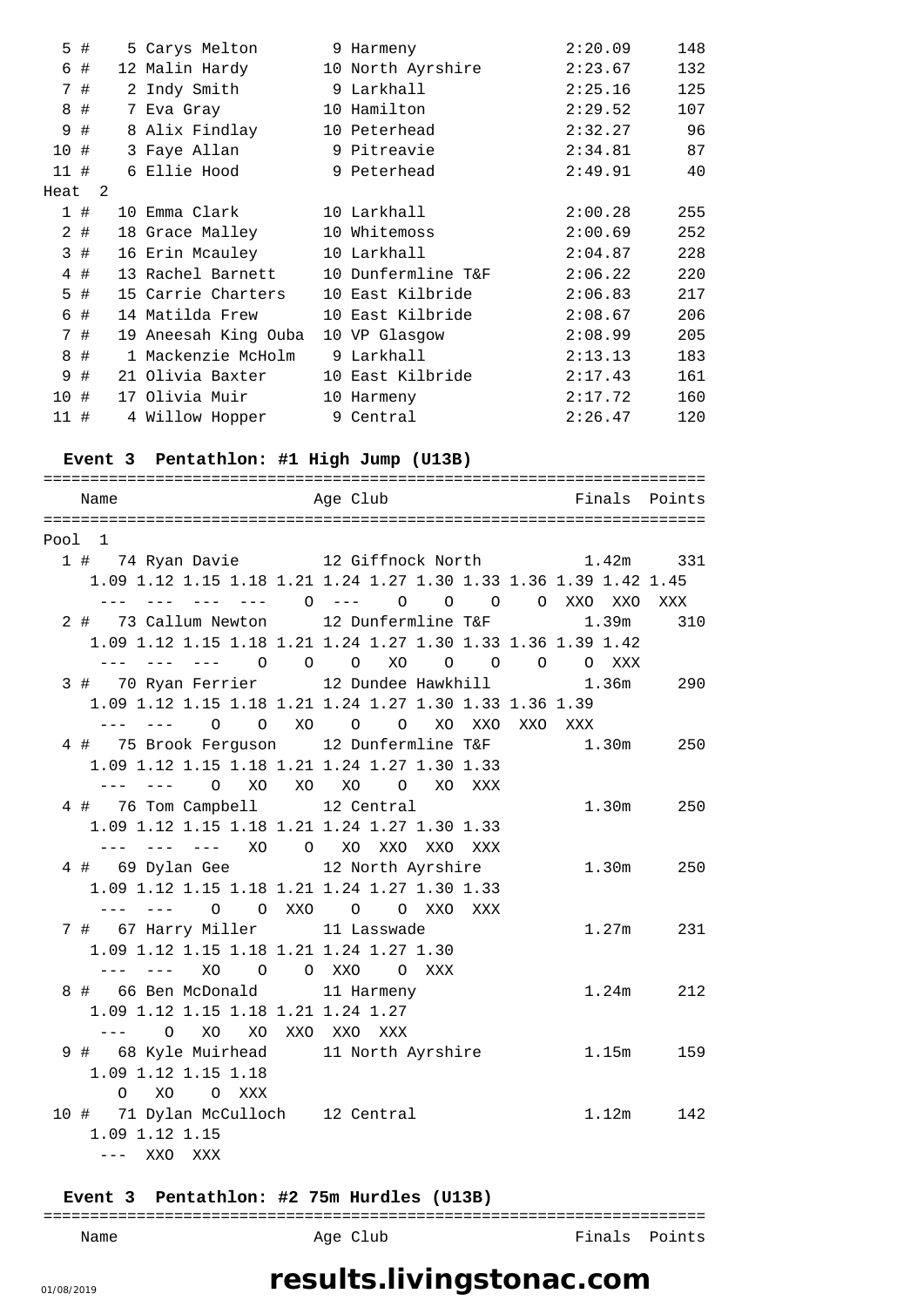|                   | $5$ # | 5 Carys Melton       | 9 Harmeny          | 2:20.09 | 148 |
|-------------------|-------|----------------------|--------------------|---------|-----|
| 6                 | #     | 12 Malin Hardy       | 10 North Ayrshire  | 2:23.67 | 132 |
|                   | 7#    | 2 Indy Smith         | 9 Larkhall         | 2:25.16 | 125 |
|                   | 8#    | 7 Eva Gray           | 10 Hamilton        | 2:29.52 | 107 |
|                   | 9#    | 8 Alix Findlay       | 10 Peterhead       | 2:32.27 | 96  |
| 10#               |       | 3 Faye Allan         | 9 Pitreavie        | 2:34.81 | 87  |
| 11#               |       | 6 Ellie Hood         | 9 Peterhead        | 2:49.91 | 40  |
| Heat <sub>2</sub> |       |                      |                    |         |     |
|                   | 1#    | 10 Emma Clark        | 10 Larkhall        | 2:00.28 | 255 |
|                   | 2#    | 18 Grace Malley      | 10 Whitemoss       | 2:00.69 | 252 |
|                   | 3#    | 16 Erin Mcauley      | 10 Larkhall        | 2:04.87 | 228 |
|                   | $4$ # | 13 Rachel Barnett    | 10 Dunfermline T&F | 2:06.22 | 220 |
|                   | $5$ # | 15 Carrie Charters   | 10 East Kilbride   | 2:06.83 | 217 |
|                   | 6#    | 14 Matilda Frew      | 10 East Kilbride   | 2:08.67 | 206 |
|                   | 7#    | 19 Aneesah King Ouba | 10 VP Glasgow      | 2:08.99 | 205 |
|                   | 8#    | 1 Mackenzie McHolm   | 9 Larkhall         | 2:13.13 | 183 |
| 9                 | #     | 21 Olivia Baxter     | 10 East Kilbride   | 2:17.43 | 161 |
| 10#               |       | 17 Olivia Muir       | 10 Harmeny         | 2:17.72 | 160 |
| 11#               |       | 4 Willow Hopper      | 9 Central          | 2:26.47 | 120 |

#### **Event 3 Pentathlon: #1 High Jump (U13B)**

| Name                                               | Age Club Tinals Points                                           |               |
|----------------------------------------------------|------------------------------------------------------------------|---------------|
|                                                    |                                                                  |               |
| Pool 1                                             |                                                                  |               |
| 1 # 74 Ryan Davie 12 Giffnock North 1.42m 331      |                                                                  |               |
|                                                    | 1.09 1.12 1.15 1.18 1.21 1.24 1.27 1.30 1.33 1.36 1.39 1.42 1.45 |               |
|                                                    | --- --- --- --- 0 --- 0 0 0 0 0 XXO XXX XXX                      |               |
| 2 # 73 Callum Newton 12 Dunfermline T&F 1.39m 310  |                                                                  |               |
|                                                    | 1.09 1.12 1.15 1.18 1.21 1.24 1.27 1.30 1.33 1.36 1.39 1.42      |               |
|                                                    | --- --- --- 0 0 0 XO 0 0 0 0 XXX                                 |               |
| 3 # 70 Ryan Ferrier 12 Dundee Hawkhill 1.36m 290   |                                                                  |               |
|                                                    | 1.09 1.12 1.15 1.18 1.21 1.24 1.27 1.30 1.33 1.36 1.39           |               |
|                                                    |                                                                  |               |
| 4 # 75 Brook Ferguson 12 Dunfermline T&F 1.30m 250 |                                                                  |               |
| 1.09 1.12 1.15 1.18 1.21 1.24 1.27 1.30 1.33       |                                                                  |               |
| --- --- 0 XO XO XO O XO XXX                        |                                                                  |               |
| 4 # 76 Tom Campbell 12 Central                     |                                                                  | 1.30m 250     |
| 1.09 1.12 1.15 1.18 1.21 1.24 1.27 1.30 1.33       |                                                                  |               |
| --- --- --- XO O XO XXO XXO XXX                    |                                                                  |               |
| 4 # 69 Dylan Gee 12 North Ayrshire                 |                                                                  | 1.30m 250     |
| 1.09 1.12 1.15 1.18 1.21 1.24 1.27 1.30 1.33       |                                                                  |               |
| --- --- 0 0 XXO 0 0 XXO XXX                        |                                                                  |               |
| 7 # 67 Harry Miller 11 Lasswade                    |                                                                  | $1.27m$ 231   |
| 1.09 1.12 1.15 1.18 1.21 1.24 1.27 1.30            |                                                                  |               |
| --- --- XO O O XXO O XXX                           |                                                                  |               |
| 8 # 66 Ben McDonald 11 Harmeny                     |                                                                  | $1.24m$ 212   |
| 1.09 1.12 1.15 1.18 1.21 1.24 1.27                 |                                                                  |               |
| --- 0 XO XO XXO XXO XXX                            |                                                                  |               |
| 9 # 68 Kyle Muirhead 11 North Ayrshire             |                                                                  | 1.15m 159     |
| 1.09 1.12 1.15 1.18                                |                                                                  |               |
| O XO O XXX                                         |                                                                  |               |
| 10 # 71 Dylan McCulloch 12 Central                 |                                                                  | $1.12m$ $142$ |
| 1.09 1.12 1.15                                     |                                                                  |               |
|                                                    |                                                                  |               |

#### **Event 3 Pentathlon: #2 75m Hurdles (U13B)**

### =======================================================================

| Name | Age Club | Finals Points |
|------|----------|---------------|
|------|----------|---------------|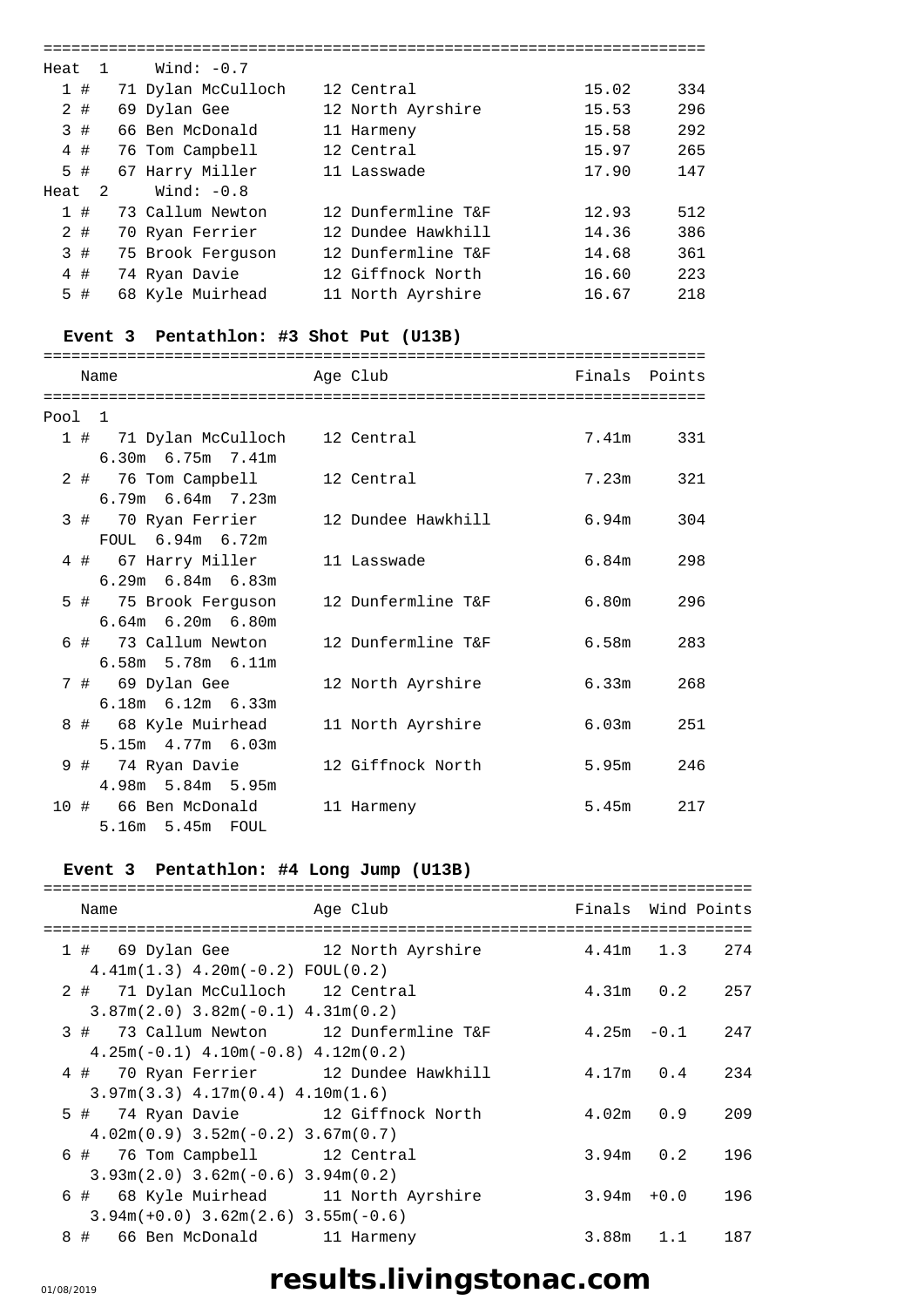| Heat 1       |    |    | Wind: $-0.7$       |                    |       |     |
|--------------|----|----|--------------------|--------------------|-------|-----|
| 1            | #  |    | 71 Dylan McCulloch | 12 Central         | 15.02 | 334 |
|              | 2# |    | 69 Dylan Gee       | 12 North Ayrshire  | 15.53 | 296 |
|              | 3# |    | 66 Ben McDonald    | 11 Harmeny         | 15.58 | 292 |
|              | 4# |    | 76 Tom Campbell    | 12 Central         | 15.97 | 265 |
|              | 5# |    | 67 Harry Miller    | 11 Lasswade        | 17.90 | 147 |
| Heat         |    | -2 | Wind: $-0.8$       |                    |       |     |
| $\mathbf{1}$ | #  |    | 73 Callum Newton   | 12 Dunfermline T&F | 12.93 | 512 |
|              | 2# |    | 70 Ryan Ferrier    | 12 Dundee Hawkhill | 14.36 | 386 |
|              | 3# |    | 75 Brook Ferguson  | 12 Dunfermline T&F | 14.68 | 361 |
|              | 4# |    | 74 Ryan Davie      | 12 Giffnock North  | 16.60 | 223 |
|              | 5# |    | 68 Kyle Muirhead   | 11 North Ayrshire  | 16.67 | 218 |

### **Event 3 Pentathlon: #3 Shot Put (U13B)**

|        |  | Name                                     |  | Age Club          | Finals Points |           |  |
|--------|--|------------------------------------------|--|-------------------|---------------|-----------|--|
|        |  |                                          |  |                   |               |           |  |
| Pool 1 |  |                                          |  |                   |               |           |  |
|        |  | 1 # 71 Dylan McCulloch 12 Central        |  |                   |               | 7.41m 331 |  |
|        |  | $6.30m$ $6.75m$ $7.41m$                  |  |                   |               |           |  |
|        |  | 2 # 76 Tom Campbell 12 Central           |  |                   |               | 7.23m 321 |  |
|        |  | $6.79m$ $6.64m$ $7.23m$                  |  |                   |               |           |  |
|        |  | 3 # 70 Ryan Ferrier 12 Dundee Hawkhill   |  |                   |               | 6.94m 304 |  |
|        |  | FOUL 6.94m 6.72m                         |  |                   |               |           |  |
|        |  | 4 # 67 Harry Miller 11 Lasswade          |  |                   |               | 6.84m 298 |  |
|        |  | $6.29m$ $6.84m$ $6.83m$                  |  |                   |               |           |  |
|        |  | 5 # 75 Brook Ferguson 12 Dunfermline T&F |  |                   | 6.80m         | 296       |  |
|        |  | $6.64m$ $6.20m$ $6.80m$                  |  |                   |               |           |  |
|        |  | 6 # 73 Callum Newton 12 Dunfermline T&F  |  |                   | 6.58m         | 283       |  |
|        |  | $6.58m$ 5.78 $m$ 6.11 $m$                |  |                   |               |           |  |
|        |  | 7 # 69 Dylan Gee                         |  | 12 North Ayrshire | 6.33m         | 268       |  |
|        |  | $6.18m$ $6.12m$ $6.33m$                  |  |                   |               |           |  |
|        |  | 8 # 68 Kyle Muirhead                     |  | 11 North Ayrshire | 6.03m         | 251       |  |
|        |  | $5.15m$ $4.77m$ $6.03m$                  |  |                   |               |           |  |
|        |  | 9 # 74 Ryan Davie                        |  | 12 Giffnock North | 5.95m         | 246       |  |
|        |  | 4.98m 5.84m 5.95m                        |  |                   |               |           |  |
|        |  | 10 # 66 Ben McDonald                     |  | 11 Harmeny        |               | 5.45m 217 |  |
|        |  | 5.16m 5.45m FOUL                         |  |                   |               |           |  |

### **Event 3 Pentathlon: #4 Long Jump (U13B)**

| Name                                     | Age Club | Finals Wind Points  |                 |
|------------------------------------------|----------|---------------------|-----------------|
|                                          |          |                     |                 |
| 1 # 69 Dylan Gee 12 North Ayrshire       |          | $4.41m$ $1.3$ $274$ |                 |
| $4.41m(1.3)$ $4.20m(-0.2)$ $FOUL(0.2)$   |          |                     |                 |
| 2 # 71 Dylan McCulloch 12 Central        |          |                     | $4.31m$ 0.2 257 |
| $3.87m(2.0)$ $3.82m(-0.1)$ $4.31m(0.2)$  |          |                     |                 |
| 3 # 73 Callum Newton 12 Dunfermline T&F  |          | $4.25m - 0.1$       | 247             |
| $4.25m(-0.1)$ $4.10m(-0.8)$ $4.12m(0.2)$ |          |                     |                 |
| 4 # 70 Ryan Ferrier 12 Dundee Hawkhill   |          | $4.17m$ 0.4         | 234             |
| $3.97m(3.3)$ 4.17 $m(0.4)$ 4.10 $m(1.6)$ |          |                     |                 |
| 5 # 74 Ryan Davie 12 Giffnock North      |          | $4.02m$ 0.9         | 209             |
| $4.02m(0.9)$ $3.52m(-0.2)$ $3.67m(0.7)$  |          |                     |                 |
| 6 # 76 Tom Campbell 12 Central           |          | $3.94m$ 0.2         | 196             |
| $3.93m(2.0)$ $3.62m(-0.6)$ $3.94m(0.2)$  |          |                     |                 |
| 6 # 68 Kyle Muirhead 11 North Ayrshire   |          | $3.94m + 0.0$       | 196             |
| $3.94m(+0.0)$ $3.62m(2.6)$ $3.55m(-0.6)$ |          |                     |                 |
| 8 #<br>66 Ben McDonald 11 Harmeny        |          | $3.88m$ $1.1$       | 187             |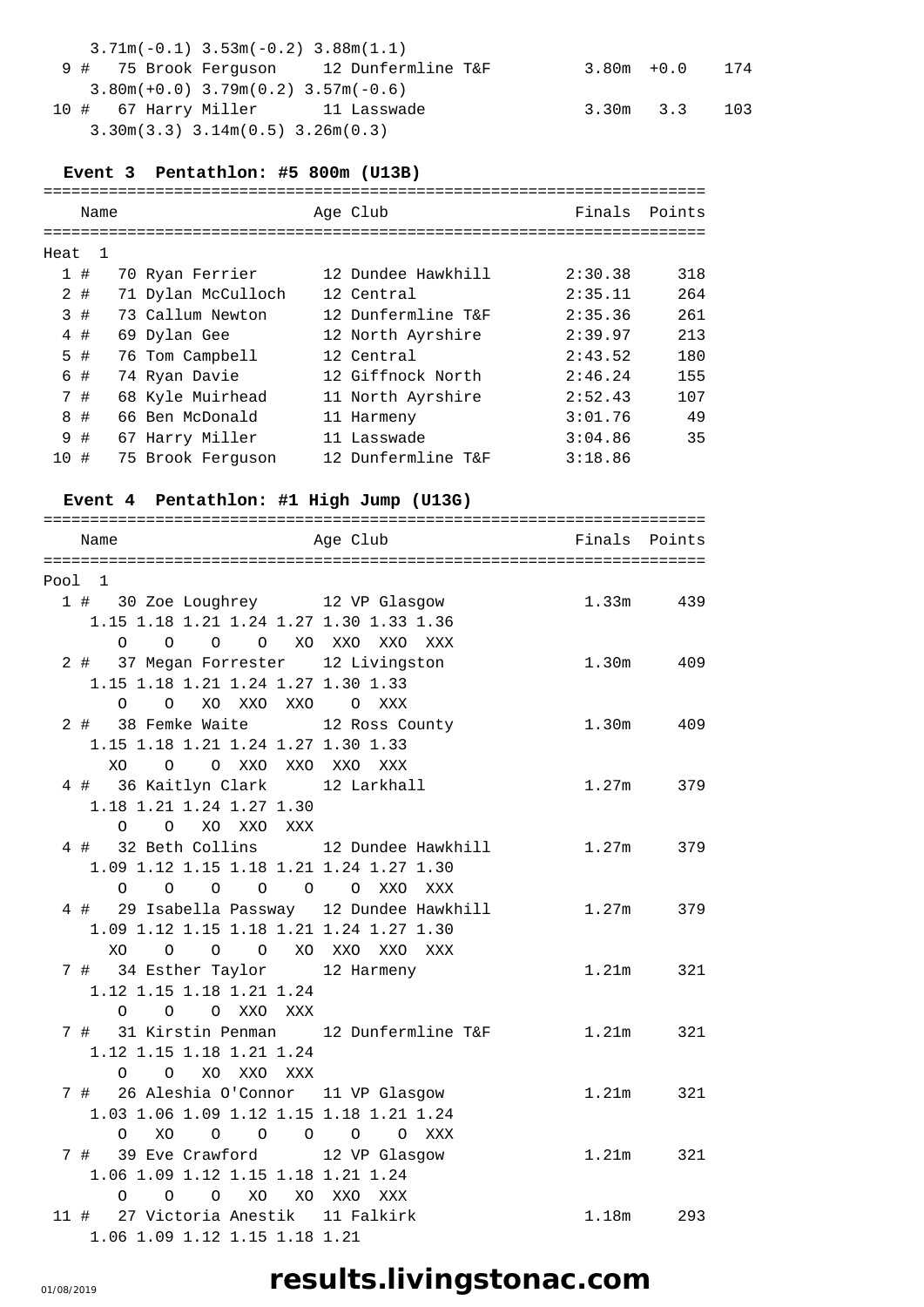|  | $3.71m(-0.1)$ $3.53m(-0.2)$ $3.88m(1.1)$ |                                          |               |     |
|--|------------------------------------------|------------------------------------------|---------------|-----|
|  |                                          | 9 # 75 Brook Ferguson 12 Dunfermline T&F | $3.80m + 0.0$ | 174 |
|  | $3.80m(+0.0)$ $3.79m(0.2)$ $3.57m(-0.6)$ |                                          |               |     |
|  |                                          | 10 # 67 Harry Miller 11 Lasswade         | 3.30m 3.3     | 103 |
|  | $3.30m(3.3)$ $3.14m(0.5)$ $3.26m(0.3)$   |                                          |               |     |

### **Event 3 Pentathlon: #5 800m (U13B)**

|      |    | Name           |                    | Age Club           | Finals  | Points |
|------|----|----------------|--------------------|--------------------|---------|--------|
| Heat |    | $\overline{1}$ |                    |                    |         |        |
|      | 1# |                | 70 Ryan Ferrier    | 12 Dundee Hawkhill | 2:30.38 | 318    |
|      | 2# |                | 71 Dylan McCulloch | 12 Central         | 2:35.11 | 264    |
|      | 3# |                | 73 Callum Newton   | 12 Dunfermline T&F | 2:35.36 | 261    |
|      | 4# |                | 69 Dylan Gee       | 12 North Ayrshire  | 2:39.97 | 213    |
|      | 5# |                | 76 Tom Campbell    | 12 Central         | 2:43.52 | 180    |
| 6    | #  |                | 74 Ryan Davie      | 12 Giffnock North  | 2:46.24 | 155    |
|      | 7# |                | 68 Kyle Muirhead   | 11 North Ayrshire  | 2:52.43 | 107    |
|      | 8# |                | 66 Ben McDonald    | 11 Harmeny         | 3:01.76 | 49     |
| 9    | #  |                | 67 Harry Miller    | 11 Lasswade        | 3:04.86 | 35     |
| 10   | #  |                | 75 Brook Ferquson  | 12 Dunfermline T&F | 3:18.86 |        |

### **Event 4 Pentathlon: #1 High Jump (U13G)**

| Name                                               | Age Club      | Finals Points |             |
|----------------------------------------------------|---------------|---------------|-------------|
|                                                    |               |               |             |
| Pool 1                                             |               |               |             |
| 1 # 30 Zoe Loughrey 12 VP Glasgow                  |               |               | 1.33m 439   |
| 1.15 1.18 1.21 1.24 1.27 1.30 1.33 1.36            |               |               |             |
| 0 0 0 0 XO XXO XXO XXX                             |               |               |             |
| 2 # 37 Megan Forrester 12 Livingston               |               | $1.30m$ 409   |             |
| 1.15 1.18 1.21 1.24 1.27 1.30 1.33                 |               |               |             |
| O O XO XXO XXO O XXX                               |               |               |             |
| 2 # 38 Femke Waite 12 Ross County                  |               |               | 1.30m 409   |
| 1.15 1.18 1.21 1.24 1.27 1.30 1.33                 |               |               |             |
| XO O O XXO XXO XXO XXX                             |               |               |             |
| 4 # 36 Kaitlyn Clark 12 Larkhall                   |               |               | $1.27m$ 379 |
| 1.18 1.21 1.24 1.27 1.30                           |               |               |             |
| O O XO XXO XXX                                     |               |               |             |
| 4 # 32 Beth Collins 12 Dundee Hawkhill 1.27m 379   |               |               |             |
| 1.09 1.12 1.15 1.18 1.21 1.24 1.27 1.30            |               |               |             |
| 0 0 0 0 0 0 XXO XXX                                |               |               |             |
| 4 # 29 Isabella Passway 12 Dundee Hawkhill         |               | 1.27m 379     |             |
| 1.09 1.12 1.15 1.18 1.21 1.24 1.27 1.30            |               |               |             |
| XO O O O XO XXO XXO XXX                            |               |               |             |
| 7 # 34 Esther Taylor 12 Harmeny                    |               |               | $1.21m$ 321 |
| 1.12 1.15 1.18 1.21 1.24                           |               |               |             |
| O O O XXO XXX                                      |               |               |             |
| 7 # 31 Kirstin Penman 12 Dunfermline T&F 1.21m 321 |               |               |             |
| 1.12 1.15 1.18 1.21 1.24                           |               |               |             |
| O O XO XXO XXX                                     |               |               |             |
| 7 # 26 Aleshia O'Connor 11 VP Glasgow              |               |               | $1.21m$ 321 |
| 1.03 1.06 1.09 1.12 1.15 1.18 1.21 1.24            |               |               |             |
| $\Omega$<br>XO                                     | 0 0 0 0 0 XXX |               |             |
| 7 # 39 Eve Crawford 12 VP Glasgow                  |               |               | $1.21m$ 321 |
| 1.06 1.09 1.12 1.15 1.18 1.21 1.24                 |               |               |             |
| 0 0 0 XO XO XXO XXX                                |               |               |             |
| 11 # 27 Victoria Anestik 11 Falkirk                |               |               | 1.18m 293   |
| 1.06 1.09 1.12 1.15 1.18 1.21                      |               |               |             |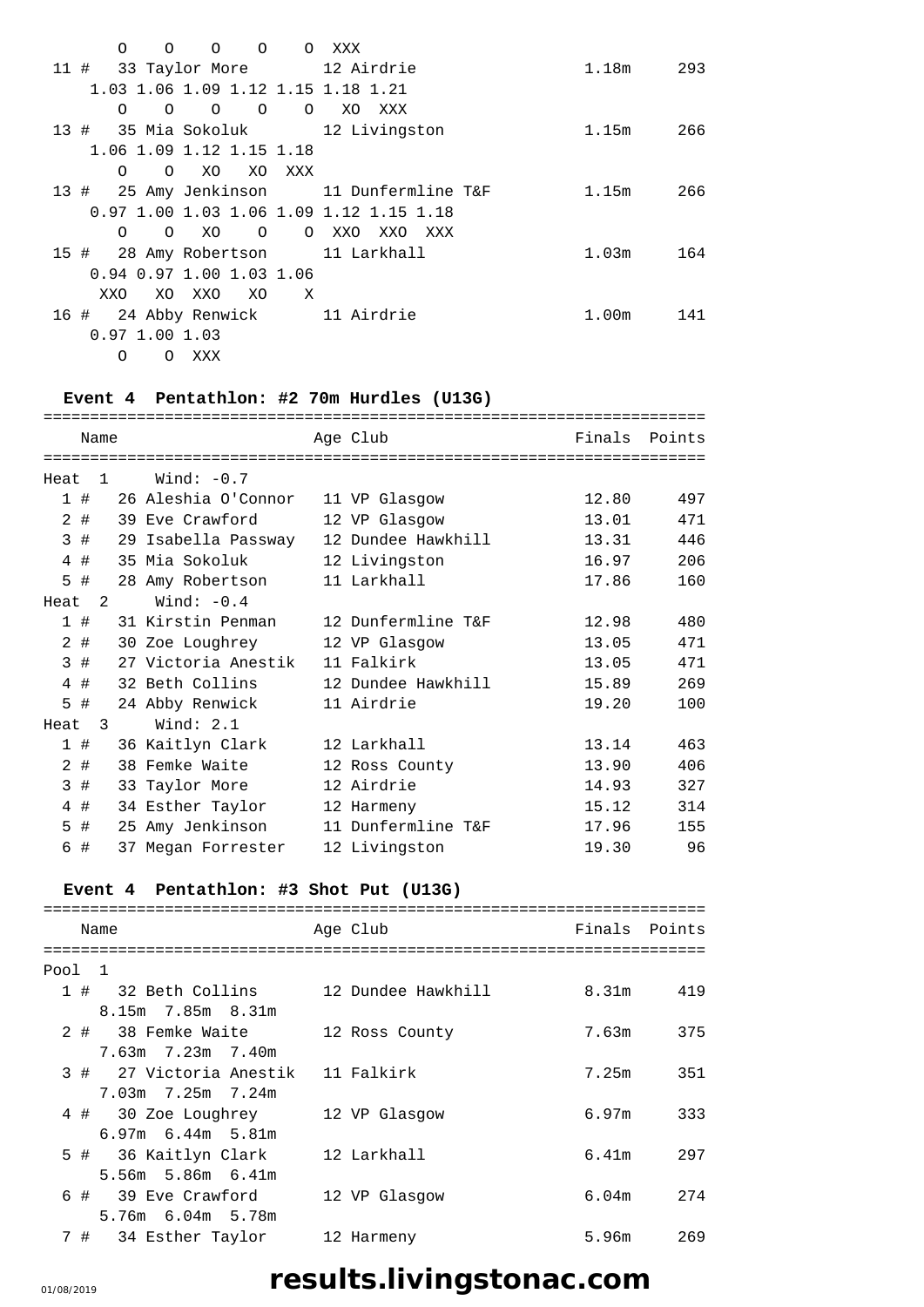| $\Omega$<br>$\Omega$ | 0<br>$\Omega$                      |         | O XXX                                    |                   |     |
|----------------------|------------------------------------|---------|------------------------------------------|-------------------|-----|
|                      |                                    |         | 11 # 33 Taylor More 12 Airdrie           | 1.18m 293         |     |
|                      | 1.03 1.06 1.09 1.12 1.15 1.18 1.21 |         |                                          |                   |     |
| $\Omega$<br>$\Omega$ | $\circ$<br>$\circ$                 | $\circ$ | XO<br>XXX                                |                   |     |
|                      |                                    |         | 13 # 35 Mia Sokoluk 12 Livingston        | 1.15m             | 266 |
|                      | 1.06 1.09 1.12 1.15 1.18           |         |                                          |                   |     |
| $\Omega$<br>$\Omega$ | XO<br>XO                           | XXX     |                                          |                   |     |
|                      |                                    |         | 13 # 25 Amy Jenkinson 11 Dunfermline T&F | 1.15m             | 266 |
|                      |                                    |         | 0.97 1.00 1.03 1.06 1.09 1.12 1.15 1.18  |                   |     |
| $\Omega$<br>$\Omega$ | XO.<br>$\Omega$                    |         | O XXO<br>XXO<br>XXX                      |                   |     |
|                      |                                    |         | 15 # 28 Amy Robertson 11 Larkhall        | 1.03m             | 164 |
|                      | 0.94 0.97 1.00 1.03 1.06           |         |                                          |                   |     |
| XXO                  | XO XXO<br>XO                       | X       |                                          |                   |     |
|                      |                                    |         | 16 # 24 Abby Renwick 11 Airdrie          | 1.00 <sub>m</sub> | 141 |
| $0.97$ 1.00 1.03     |                                    |         |                                          |                   |     |
| O<br>$\circ$         | XXX                                |         |                                          |                   |     |

#### **Event 4 Pentathlon: #2 70m Hurdles (U13G)**

|                                        |                                        | Name          |  |                                        |  | Age Club           | Finals | Points |
|----------------------------------------|----------------------------------------|---------------|--|----------------------------------------|--|--------------------|--------|--------|
|                                        |                                        |               |  |                                        |  |                    |        |        |
|                                        | Wind: $-0.7$<br>Heat<br>$\overline{1}$ |               |  |                                        |  |                    |        |        |
|                                        | 1#                                     |               |  | 26 Aleshia O'Connor 11 VP Glasgow      |  |                    | 12.80  | 497    |
|                                        | 2#                                     |               |  | 39 Eve Crawford                        |  | 12 VP Glasgow      | 13.01  | 471    |
| $\mathbf{3}$                           | #                                      |               |  | 29 Isabella Passway 12 Dundee Hawkhill |  |                    | 13.31  | 446    |
| $\overline{4}$                         | #                                      |               |  | 35 Mia Sokoluk                         |  | 12 Livingston      | 16.97  | 206    |
|                                        | 5#                                     |               |  | 28 Amy Robertson                       |  | 11 Larkhall        | 17.86  | 160    |
| Wind: $-0.4$<br>$\mathfrak{D}$<br>Heat |                                        |               |  |                                        |  |                    |        |        |
|                                        | 1#                                     |               |  | 31 Kirstin Penman                      |  | 12 Dunfermline T&F | 12.98  | 480    |
| $\overline{a}$                         | #                                      |               |  | 30 Zoe Loughrey                        |  | 12 VP Glasgow      | 13.05  | 471    |
| $\mathbf{3}$                           | #                                      |               |  | 27 Victoria Anestik                    |  | 11 Falkirk         | 13.05  | 471    |
| 4                                      | #                                      |               |  | 32 Beth Collins                        |  | 12 Dundee Hawkhill | 15.89  | 269    |
|                                        | 5 #                                    |               |  | 24 Abby Renwick                        |  | 11 Airdrie         | 19.20  | 100    |
| Heat                                   |                                        | $\mathcal{R}$ |  | Wind: $2.1$                            |  |                    |        |        |
|                                        | 1#                                     |               |  | 36 Kaitlyn Clark                       |  | 12 Larkhall        | 13.14  | 463    |
| 2                                      | #                                      |               |  | 38 Femke Waite                         |  | 12 Ross County     | 13.90  | 406    |
| 3                                      | #                                      |               |  | 33 Taylor More                         |  | 12 Airdrie         | 14.93  | 327    |
| 4                                      | #                                      |               |  | 34 Esther Taylor                       |  | 12 Harmeny         | 15.12  | 314    |
| 5                                      | #                                      |               |  | 25 Amy Jenkinson                       |  | 11 Dunfermline T&F | 17.96  | 155    |
| 6                                      | #                                      |               |  | 37 Megan Forrester                     |  | 12 Livingston      | 19.30  | 96     |

## **Event 4 Pentathlon: #3 Shot Put (U13G)**

| Name                    |  | Age Club           | Finals | Points |
|-------------------------|--|--------------------|--------|--------|
|                         |  |                    |        |        |
| Pool 1                  |  |                    |        |        |
| 1 # 32 Beth Collins     |  | 12 Dundee Hawkhill | 8.31m  | 419    |
| 8.15m 7.85m 8.31m       |  |                    |        |        |
| 2 # 38 Femke Waite      |  | 12 Ross County     | 7.63m  | 375    |
| $7.63m$ $7.23m$ $7.40m$ |  |                    |        |        |
| 3 # 27 Victoria Anestik |  | 11 Falkirk         | 7.25m  | 351    |
| $7.03m$ $7.25m$ $7.24m$ |  |                    |        |        |
| 4 # 30 Zoe Loughrey     |  | 12 VP Glasgow      | 6.97m  | 333    |
| $6.97m$ $6.44m$ $5.81m$ |  |                    |        |        |
| 5 # 36 Kaitlyn Clark    |  | 12 Larkhall        | 6.41m  | 297    |
| $5.56m$ 5.86m $6.41m$   |  |                    |        |        |
| $6#39$ Eve Crawford     |  | 12 VP Glasgow      | 6.04m  | 274    |
| 5.76m 6.04m 5.78m       |  |                    |        |        |
| 7 # 34 Esther Taylor    |  | 12 Harmeny         | 5.96m  | 269    |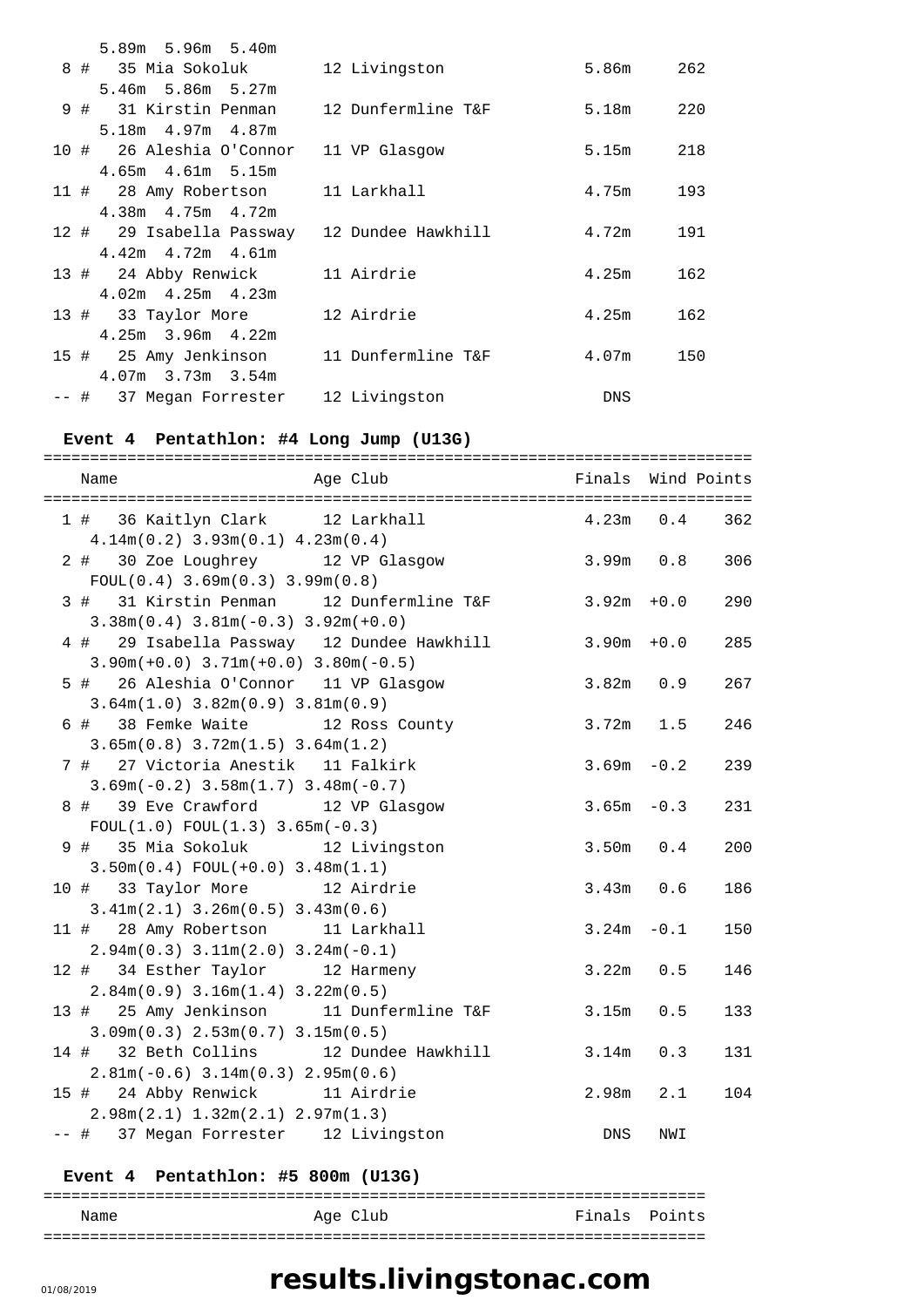|  | 5.89m 5.96m 5.40m                           |                    |            |     |
|--|---------------------------------------------|--------------------|------------|-----|
|  | 8 # 35 Mia Sokoluk                          | 12 Livingston      | 5.86m      | 262 |
|  | 5.46m 5.86m 5.27m                           |                    |            |     |
|  | 9 # 31 Kirstin Penman                       | 12 Dunfermline T&F | 5.18m      | 220 |
|  | $5.18m$ 4.97m 4.87m                         |                    |            |     |
|  | 10 # 26 Aleshia O'Connor 11 VP Glasgow      |                    | 5.15m      | 218 |
|  | $4.65m$ $4.61m$ $5.15m$                     |                    |            |     |
|  | 11 # 28 Amy Robertson 11 Larkhall           |                    | 4.75m      | 193 |
|  | $4.38m$ $4.75m$ $4.72m$                     |                    |            |     |
|  | 12 # 29 Isabella Passway 12 Dundee Hawkhill |                    | 4.72m      | 191 |
|  | $4.42m$ $4.72m$ $4.61m$                     |                    |            |     |
|  | 13 # 24 Abby Renwick                        | 11 Airdrie         | 4.25m      | 162 |
|  | $4.02m$ $4.25m$ $4.23m$                     |                    |            |     |
|  | 13 # 33 Taylor More                         | 12 Airdrie         | 4.25m      | 162 |
|  | $4.25m$ 3.96m $4.22m$                       |                    |            |     |
|  | 15 # 25 Amy Jenkinson 11 Dunfermline T&F    |                    | 4.07m      | 150 |
|  | $4.07m$ 3.73m 3.54m                         |                    |            |     |
|  | -- # 37 Megan Forrester 12 Livingston       |                    | <b>DNS</b> |     |

### **Event 4 Pentathlon: #4 Long Jump (U13G)**

| Age Club<br>Name                                      | Finals Wind Points |     |     |
|-------------------------------------------------------|--------------------|-----|-----|
|                                                       |                    |     |     |
| 1 # 36 Kaitlyn Clark 12 Larkhall                      | $4.23m$ 0.4 362    |     |     |
| $4.14m(0.2)$ $3.93m(0.1)$ $4.23m(0.4)$                |                    |     |     |
| 2 # 30 Zoe Loughrey 12 VP Glasgow                     | $3.99m$ 0.8        |     | 306 |
| FOUL(0.4) 3.69m(0.3) 3.99m(0.8)                       |                    |     |     |
| 3 # 31 Kirstin Penman 12 Dunfermline T&F 3.92m +0.0   |                    |     | 290 |
| $3.38m(0.4)$ $3.81m(-0.3)$ $3.92m(+0.0)$              |                    |     |     |
| 4 # 29 Isabella Passway 12 Dundee Hawkhill 3.90m +0.0 |                    |     | 285 |
| $3.90m(+0.0)$ $3.71m(+0.0)$ $3.80m(-0.5)$             |                    |     |     |
| 5 # 26 Aleshia O'Connor 11 VP Glasgow                 | $3.82m$ 0.9        |     | 267 |
| $3.64m(1.0)$ $3.82m(0.9)$ $3.81m(0.9)$                |                    |     |     |
| 6 # 38 Femke Waite 12 Ross County                     | $3.72m$ 1.5        |     | 246 |
| $3.65m(0.8)$ $3.72m(1.5)$ $3.64m(1.2)$                |                    |     |     |
| 7 # 27 Victoria Anestik 11 Falkirk                    | $3.69m - 0.2$      |     | 239 |
| $3.69m(-0.2)$ $3.58m(1.7)$ $3.48m(-0.7)$              |                    |     |     |
| 8 # 39 Eve Crawford 12 VP Glasqow                     | $3.65m - 0.3$      |     | 231 |
| $FOUL(1.0) FOUL(1.3) 3.65m(-0.3)$                     |                    |     |     |
| 9 # 35 Mia Sokoluk 12 Livingston                      | $3.50m$ 0.4        |     | 200 |
| $3.50m(0.4) FOUL(+0.0) 3.48m(1.1)$                    |                    |     |     |
| 10 # 33 Taylor More 12 Airdrie                        | $3.43m$ 0.6        |     | 186 |
| $3.41m(2.1)$ $3.26m(0.5)$ $3.43m(0.6)$                |                    |     |     |
| 11 # 28 Amy Robertson 11 Larkhall                     | $3.24m - 0.1$      |     | 150 |
| $2.94m(0.3)$ $3.11m(2.0)$ $3.24m(-0.1)$               |                    |     |     |
| 12 # 34 Esther Taylor 12 Harmeny                      | $3.22m$ 0.5        |     | 146 |
| $2.84m(0.9)$ 3.16 $m(1.4)$ 3.22 $m(0.5)$              |                    |     |     |
| 13 # 25 Amy Jenkinson 11 Dunfermline T&F              | $3.15m$ 0.5        |     | 133 |
| $3.09m(0.3)$ $2.53m(0.7)$ $3.15m(0.5)$                |                    |     |     |
| 32 Beth Collins 12 Dundee Hawkhill<br>14#             | $3.14m$ 0.3        |     | 131 |
| $2.81m(-0.6)$ $3.14m(0.3)$ $2.95m(0.6)$               |                    |     |     |
| 15 # 24 Abby Renwick 11 Airdrie                       | $2.98m$ $2.1$      |     | 104 |
| $2.98m(2.1)$ $1.32m(2.1)$ $2.97m(1.3)$                |                    |     |     |
| -- # 37 Megan Forrester 12 Livingston                 | DNS                | NWI |     |

#### **Event 4 Pentathlon: #5 800m (U13G)**

=======================================================================

| Name | Age<br>.1ur | Finals | Points       |
|------|-------------|--------|--------------|
|      |             |        | ___<br>_ _ _ |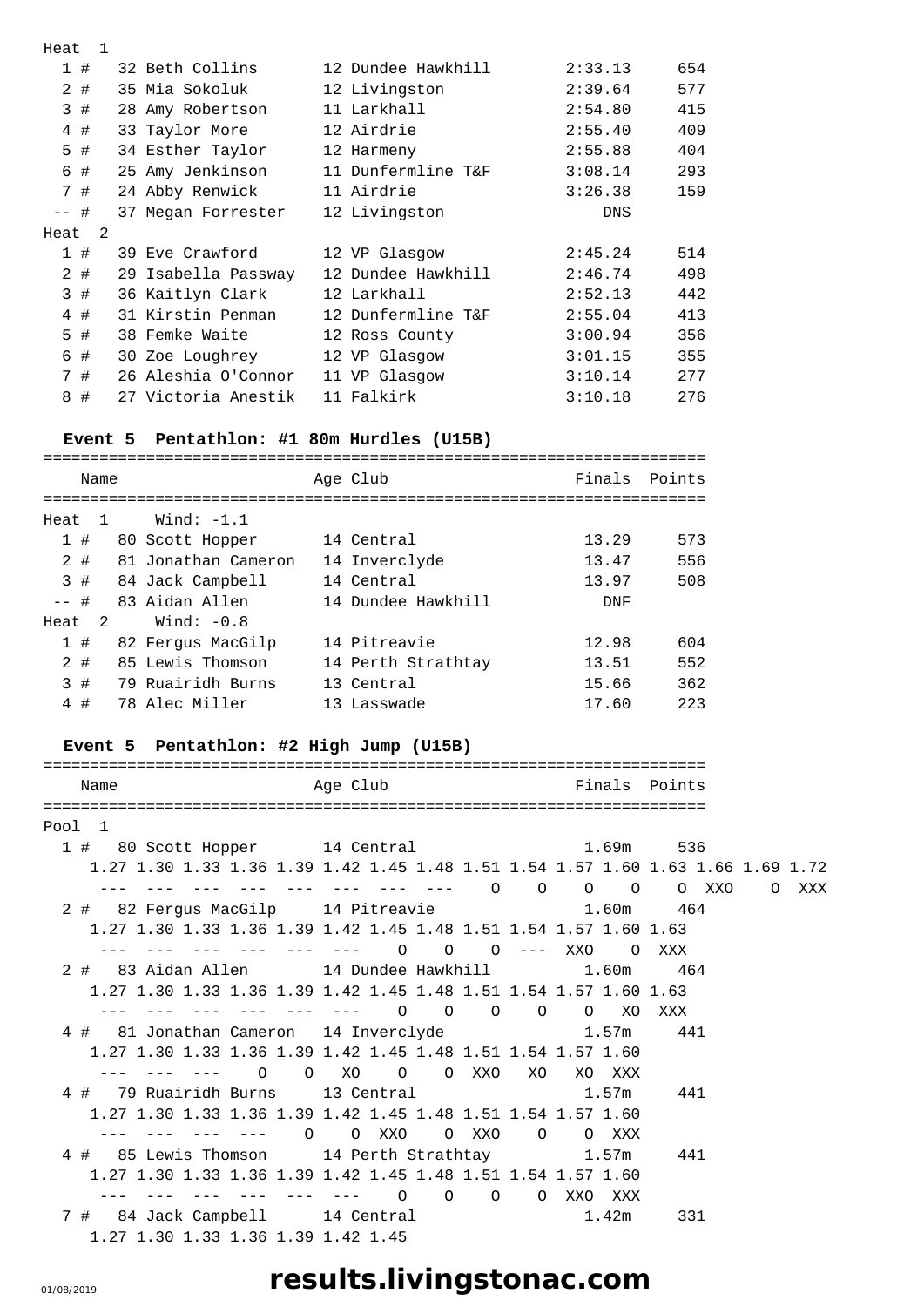| 115a c |       |     |                     |                    |         |     |
|--------|-------|-----|---------------------|--------------------|---------|-----|
|        | 1#    |     | 32 Beth Collins     | 12 Dundee Hawkhill | 2:33.13 | 654 |
|        | 2#    |     | 35 Mia Sokoluk      | 12 Livingston      | 2:39.64 | 577 |
|        | 3#    |     | 28 Amy Robertson    | 11 Larkhall        | 2:54.80 | 415 |
|        | 4#    |     | 33 Taylor More      | 12 Airdrie         | 2:55.40 | 409 |
|        | 5 #   |     | 34 Esther Taylor    | 12 Harmeny         | 2:55.88 | 404 |
|        | 6 #   |     | 25 Amy Jenkinson    | 11 Dunfermline T&F | 3:08.14 | 293 |
|        | 7#    |     | 24 Abby Renwick     | 11 Airdrie         | 3:26.38 | 159 |
| $--$ # |       |     | 37 Megan Forrester  | 12 Livingston      | DNS     |     |
| Heat   |       | - 2 |                     |                    |         |     |
|        | 1#    |     | 39 Eve Crawford     | 12 VP Glasgow      | 2:45.24 | 514 |
|        | $2$ # |     | 29 Isabella Passway | 12 Dundee Hawkhill | 2:46.74 | 498 |
|        | 3#    |     | 36 Kaitlyn Clark    | 12 Larkhall        | 2:52.13 | 442 |
|        | 4#    |     | 31 Kirstin Penman   | 12 Dunfermline T&F | 2:55.04 | 413 |
|        | 5#    |     | 38 Femke Waite      | 12 Ross County     | 3:00.94 | 356 |
|        | 6#    |     | 30 Zoe Loughrey     | 12 VP Glasgow      | 3:01.15 | 355 |
|        | 7#    |     | 26 Aleshia O'Connor | 11 VP Glasgow      | 3:10.14 | 277 |
| 8      | #     |     | 27 Victoria Anestik | 11 Falkirk         | 3:10.18 | 276 |
|        |       |     |                     |                    |         |     |

#### **Event 5 Pentathlon: #1 80m Hurdles (U15B)**

|              |        | Name           |                     | Age Club           | Finals | Points |
|--------------|--------|----------------|---------------------|--------------------|--------|--------|
|              |        |                |                     |                    |        |        |
| Heat         |        | $\overline{1}$ | Wind: $-1.1$        |                    |        |        |
| $\mathbf{1}$ | #      |                | 80 Scott Hopper     | 14 Central         | 13.29  | 573    |
|              | $2 \#$ |                | 81 Jonathan Cameron | 14 Inverclyde      | 13.47  | 556    |
|              | 3#     |                | 84 Jack Campbell    | 14 Central         | 13.97  | 508    |
| $--$ #       |        |                | 83 Aidan Allen      | 14 Dundee Hawkhill | DNF    |        |
| Heat         |        | - 2.           | Wind: $-0.8$        |                    |        |        |
| $\mathbf{1}$ | #      |                | 82 Ferqus MacGilp   | 14 Pitreavie       | 12.98  | 604    |
| 2            | #      |                | 85 Lewis Thomson    | 14 Perth Strathtay | 13.51  | 552    |
|              | 3#     |                | 79 Ruairidh Burns   | 13 Central         | 15.66  | 362    |
| 4            | #      |                | 78 Alec Miller      | 13 Lasswade        | 17.60  | 223    |

#### **Event 5 Pentathlon: #2 High Jump (U15B)**

 1.27 1.30 1.33 1.36 1.39 1.42 1.45 1.48 1.51 1.54 1.57 1.60 1.63 --- --- --- --- --- --- 0 0 0 --- XXO 0 XXX 2 # 83 Aidan Allen 14 Dundee Hawkhill 1.60m 464 1.27 1.30 1.33 1.36 1.39 1.42 1.45 1.48 1.51 1.54 1.57 1.60 1.63 --- --- --- --- --- --- 0 0 0 0 0 0 XO XXX Name Age Club Age Club Finals Points ======================================================================= Pool 1 --- --- --- --- --- --- --- --- O O O O O XXO O XXX 2 # 82 Fergus MacGilp 14 Pitreavie 1.60m 464 1 # 80 Scott Hopper 14 Central 1.69m 536 1.27 1.30 1.33 1.36 1.39 1.42 1.45 1.48 1.51 1.54 1.57 1.60 1.63 1.66 1.69 1.72 =======================================================================

7 # 84 Jack Campbell 14 Central 1.42m 331 1.27 1.30 1.33 1.36 1.39 1.42 1.45 1.27 1.30 1.33 1.36 1.39 1.42 1.45 1.48 1.51 1.54 1.57 1.60 --- --- --- O O XO O O XXO XO XO XXX 4 # 79 Ruairidh Burns 13 Central 1.57m 441 1.27 1.30 1.33 1.36 1.39 1.42 1.45 1.48 1.51 1.54 1.57 1.60 --- --- --- --- O O XXO O XXO O O XXX 4 # 85 Lewis Thomson 14 Perth Strathtay 1.57m 441 4 # 81 Jonathan Cameron 14 Inverclyde 1.57m 441 1.27 1.30 1.33 1.36 1.39 1.42 1.45 1.48 1.51 1.54 1.57 1.60 --- --- --- --- --- --- 0 0 0 0 XXO XXX

# 01/08/2019 **results.livingstonac.com**

 $H \circ f = 1$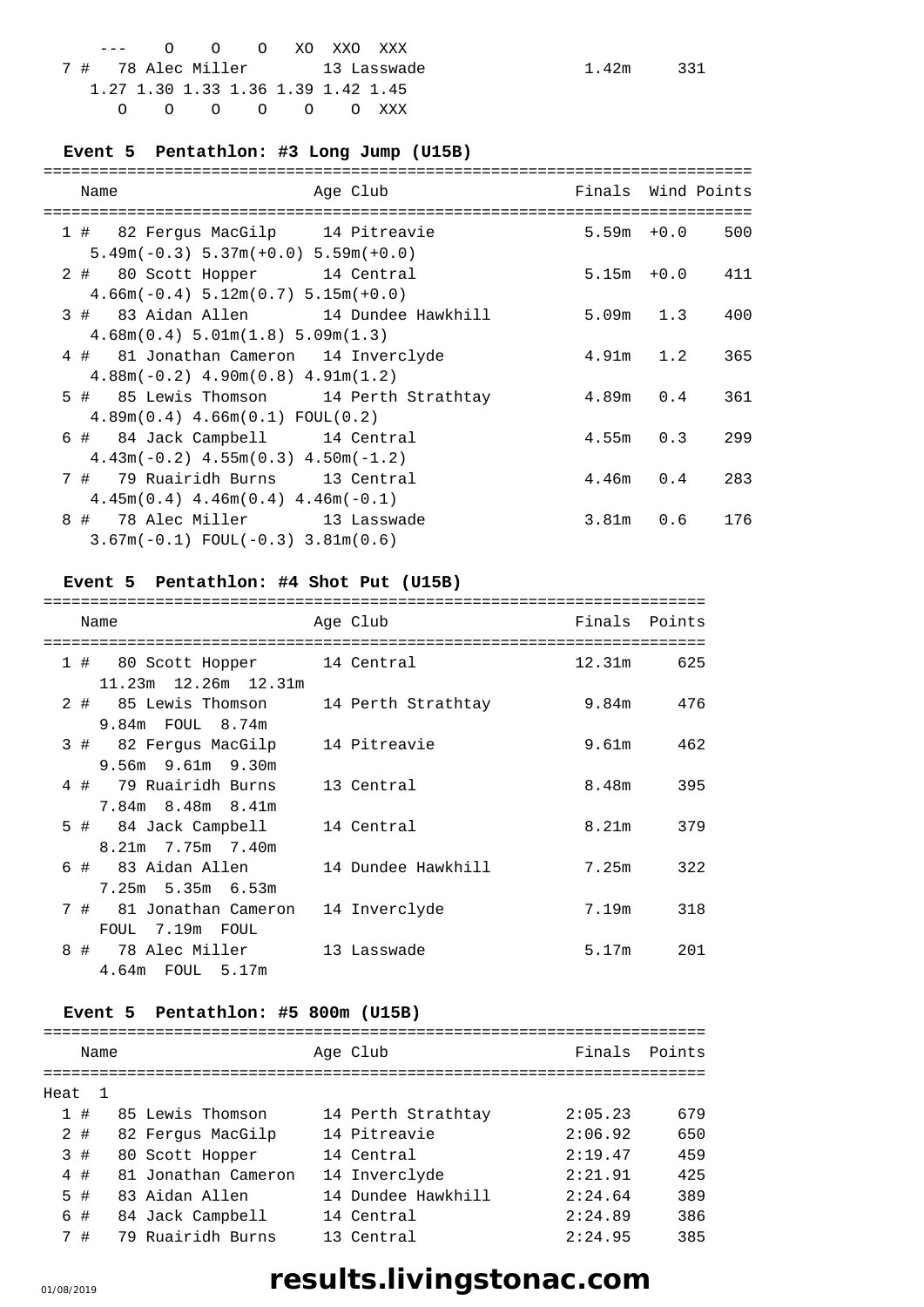|  |                    | --- 0 0 0 XO XXO XXX                                      |  |  |             |  |
|--|--------------------|-----------------------------------------------------------|--|--|-------------|--|
|  | 7 # 78 Alec Miller |                                                           |  |  | 13 Lasswade |  |
|  |                    | 1.27 1.30 1.33 1.36 1.39 1.42 1.45                        |  |  |             |  |
|  |                    | $0 \qquad 0 \qquad 0 \qquad 0 \qquad 0 \qquad 0 \qquad 0$ |  |  |             |  |

#### $1.42m$  331

#### **Event 5 Pentathlon: #3 Long Jump (U15B)**

| Name | Age Club |                                                                                                                                                                                                                                                                                                                                                                                                                                                                                                                                                                                                                                                                                        |                                                                                                                                                  |
|------|----------|----------------------------------------------------------------------------------------------------------------------------------------------------------------------------------------------------------------------------------------------------------------------------------------------------------------------------------------------------------------------------------------------------------------------------------------------------------------------------------------------------------------------------------------------------------------------------------------------------------------------------------------------------------------------------------------|--------------------------------------------------------------------------------------------------------------------------------------------------|
|      |          |                                                                                                                                                                                                                                                                                                                                                                                                                                                                                                                                                                                                                                                                                        |                                                                                                                                                  |
|      |          |                                                                                                                                                                                                                                                                                                                                                                                                                                                                                                                                                                                                                                                                                        | 500                                                                                                                                              |
|      |          |                                                                                                                                                                                                                                                                                                                                                                                                                                                                                                                                                                                                                                                                                        |                                                                                                                                                  |
|      |          |                                                                                                                                                                                                                                                                                                                                                                                                                                                                                                                                                                                                                                                                                        |                                                                                                                                                  |
|      |          |                                                                                                                                                                                                                                                                                                                                                                                                                                                                                                                                                                                                                                                                                        |                                                                                                                                                  |
|      |          |                                                                                                                                                                                                                                                                                                                                                                                                                                                                                                                                                                                                                                                                                        | 400                                                                                                                                              |
|      |          |                                                                                                                                                                                                                                                                                                                                                                                                                                                                                                                                                                                                                                                                                        |                                                                                                                                                  |
|      |          |                                                                                                                                                                                                                                                                                                                                                                                                                                                                                                                                                                                                                                                                                        | 365                                                                                                                                              |
|      |          |                                                                                                                                                                                                                                                                                                                                                                                                                                                                                                                                                                                                                                                                                        |                                                                                                                                                  |
|      |          |                                                                                                                                                                                                                                                                                                                                                                                                                                                                                                                                                                                                                                                                                        | 361                                                                                                                                              |
|      |          |                                                                                                                                                                                                                                                                                                                                                                                                                                                                                                                                                                                                                                                                                        |                                                                                                                                                  |
|      |          |                                                                                                                                                                                                                                                                                                                                                                                                                                                                                                                                                                                                                                                                                        | 299                                                                                                                                              |
|      |          |                                                                                                                                                                                                                                                                                                                                                                                                                                                                                                                                                                                                                                                                                        |                                                                                                                                                  |
|      |          |                                                                                                                                                                                                                                                                                                                                                                                                                                                                                                                                                                                                                                                                                        | 283                                                                                                                                              |
|      |          |                                                                                                                                                                                                                                                                                                                                                                                                                                                                                                                                                                                                                                                                                        |                                                                                                                                                  |
|      |          |                                                                                                                                                                                                                                                                                                                                                                                                                                                                                                                                                                                                                                                                                        | 176                                                                                                                                              |
|      |          |                                                                                                                                                                                                                                                                                                                                                                                                                                                                                                                                                                                                                                                                                        |                                                                                                                                                  |
|      |          | ==================<br>1 # 82 Fergus MacGilp 14 Pitreavie<br>$5.49m(-0.3) 5.37m(+0.0) 5.59m(+0.0)$<br>2 # 80 Scott Hopper 14 Central<br>$4.66m(-0.4) 5.12m(0.7) 5.15m(+0.0)$<br>3 # 83 Aidan Allen 14 Dundee Hawkhill<br>$4.68$ m $(0.4)$ 5.01m $(1.8)$ 5.09m $(1.3)$<br>4 # 81 Jonathan Cameron 14 Inverclyde<br>$4.88m(-0.2)$ $4.90m(0.8)$ $4.91m(1.2)$<br>5 # 85 Lewis Thomson 14 Perth Strathtay<br>$4.89m(0.4)$ $4.66m(0.1)$ FOUL(0.2)<br>6 # 84 Jack Campbell 14 Central<br>$4.43m(-0.2)$ $4.55m(0.3)$ $4.50m(-1.2)$<br>7 # 79 Ruairidh Burns 13 Central<br>$4.45m(0.4)$ $4.46m(0.4)$ $4.46m(-0.1)$<br>8 # 78 Alec Miller 13 Lasswade<br>$3.67m(-0.1)$ FOUL $(-0.3)$ $3.81m(0.6)$ | Finals Wind Points<br>$5.59m + 0.0$<br>$5.15m + 0.0$ 411<br>$5.09m$ 1.3<br>4.91m 1.2<br>4.89m   0.4<br>$4.55m$ 0.3<br>$4.46m$ 0.4<br>$3.81m$ 0.6 |

### **Event 5 Pentathlon: #4 Shot Put (U15B)**

|    | Name                                                     | Age Club           | Finals | Points    |
|----|----------------------------------------------------------|--------------------|--------|-----------|
|    | 1 # 80 Scott Hopper 14 Central<br>11.23m 12.26m 12.31m   |                    | 12.31m | 625       |
|    | 2 # 85 Lewis Thomson<br>9.84m FOUL 8.74m                 | 14 Perth Strathtay |        | 9.84m 476 |
|    | 3 # 82 Fergus MacGilp<br>$9.56m$ $9.61m$ $9.30m$         | 14 Pitreavie       | 9.61m  | 462       |
|    | 4 # 79 Ruairidh Burns<br>7.84m 8.48m 8.41m               | 13 Central         | 8.48m  | 395       |
|    | 5 # 84 Jack Campbell 14 Central<br>8.21m 7.75m 7.40m     |                    | 8.21m  | 379       |
|    | 6 #   83 Aidan Allen<br>$7.25m$ 5.35m 6.53m              | 14 Dundee Hawkhill | 7.25m  | 322       |
|    | 7 # 81 Jonathan Cameron 14 Inverclyde<br>FOUL 7.19m FOUL |                    | 7.19m  | 318       |
| 8# | 78 Alec Miller<br>4.64m FOUL 5.17m                       | 13 Lasswade        | 5.17m  | 201       |

### **Event 5 Pentathlon: #5 800m (U15B)**

|      |       | Name |                     | Age Club           | Finals  | Points |
|------|-------|------|---------------------|--------------------|---------|--------|
|      |       |      |                     |                    |         |        |
| Heat |       |      |                     |                    |         |        |
|      | 1#    |      | 85 Lewis Thomson    | 14 Perth Strathtay | 2:05.23 | 679    |
|      | 2#    |      | 82 Ferqus MacGilp   | 14 Pitreavie       | 2:06.92 | 650    |
|      | 3#    |      | 80 Scott Hopper     | 14 Central         | 2:19.47 | 459    |
|      | 4#    |      | 81 Jonathan Cameron | 14 Inverclyde      | 2:21.91 | 425    |
|      | $5$ # |      | 83 Aidan Allen      | 14 Dundee Hawkhill | 2:24.64 | 389    |
|      | 6 #   |      | 84 Jack Campbell    | 14 Central         | 2:24.89 | 386    |
|      | 7#    |      | 79 Ruairidh Burns   | 13 Central         | 2:24.95 | 385    |
|      |       |      |                     |                    |         |        |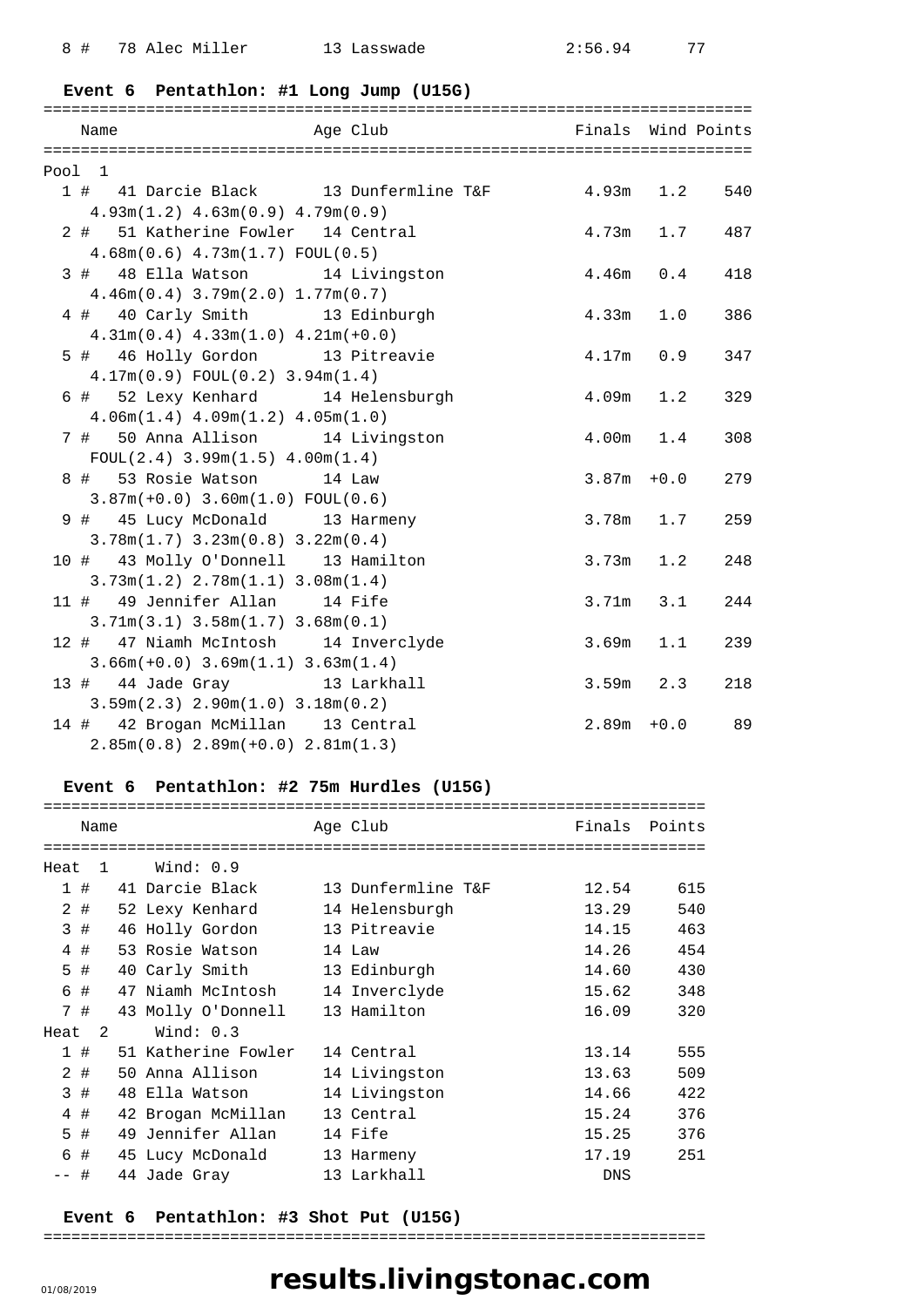#### **Event 6 Pentathlon: #1 Long Jump (U15G)**

| Age Club<br>Name                                 | Finals Wind Points |     |     |
|--------------------------------------------------|--------------------|-----|-----|
|                                                  |                    |     |     |
| Pool 1                                           |                    |     |     |
| 1 # 41 Darcie Black 13 Dunfermline T&F 4.93m 1.2 |                    |     | 540 |
| $4.93m(1.2)$ $4.63m(0.9)$ $4.79m(0.9)$           |                    |     |     |
| 2 # 51 Katherine Fowler 14 Central               | $4.73m$ 1.7        |     | 487 |
| $4.68m(0.6)$ $4.73m(1.7)$ FOUL(0.5)              |                    |     |     |
| 3 # 48 Ella Watson 14 Livingston                 | $4.46m$ 0.4        |     | 418 |
| $4.46m(0.4)$ $3.79m(2.0)$ $1.77m(0.7)$           |                    |     |     |
| 4 # 40 Carly Smith 13 Edinburgh                  | 4.33m              | 1.0 | 386 |
| $4.31m(0.4)$ $4.33m(1.0)$ $4.21m(+0.0)$          |                    |     |     |
| 5 # 46 Holly Gordon 13 Pitreavie                 | $4.17m$ 0.9        |     | 347 |
| 4.17m(0.9) FOUL(0.2) 3.94m(1.4)                  |                    |     |     |
| 6 # 52 Lexy Kenhard 14 Helensburgh               | $4.09m$ 1.2        |     | 329 |
| $4.06m(1.4)$ $4.09m(1.2)$ $4.05m(1.0)$           |                    |     |     |
| 7 # 50 Anna Allison 14 Livingston                | $4.00m$ 1.4        |     | 308 |
| $FOUL(2.4)$ 3.99m $(1.5)$ 4.00m $(1.4)$          |                    |     |     |
| 8 # 53 Rosie Watson<br>14 Law                    | $3.87m + 0.0$      |     | 279 |
| $3.87m(+0.0)$ $3.60m(1.0)$ FOUL $(0.6)$          |                    |     |     |
| 9 # 45 Lucy McDonald 13 Harmeny                  | $3.78m$ 1.7        |     | 259 |
| $3.78m(1.7)$ $3.23m(0.8)$ $3.22m(0.4)$           |                    |     |     |
| 10 # 43 Molly O'Donnell 13 Hamilton              | $3.73m$ 1.2        |     | 248 |
| $3.73m(1.2)$ $2.78m(1.1)$ $3.08m(1.4)$           |                    |     |     |
| 11 # 49 Jennifer Allan 14 Fife                   | $3.71m$ $3.1$      |     | 244 |
| $3.71m(3.1)$ $3.58m(1.7)$ $3.68m(0.1)$           |                    |     |     |
| 12 # 47 Niamh McIntosh 14 Inverclyde             | 3.69m              | 1.1 | 239 |
| $3.66m(+0.0)$ $3.69m(1.1)$ $3.63m(1.4)$          |                    |     |     |
| 13 # 44 Jade Gray 13 Larkhall                    | $3.59m$ 2.3        |     | 218 |
| $3.59m(2.3)$ $2.90m(1.0)$ $3.18m(0.2)$           |                    |     |     |
| 14 # 42 Brogan McMillan 13 Central               | $2.89m + 0.0$      |     | 89  |
| $2.85m(0.8)$ $2.89m(+0.0)$ $2.81m(1.3)$          |                    |     |     |

#### **Event 6 Pentathlon: #2 75m Hurdles (U15G)**

|              |   | Name           |                     | Age Club           | Finals     | Points |
|--------------|---|----------------|---------------------|--------------------|------------|--------|
|              |   |                |                     |                    |            |        |
| Heat         |   | 1.             | Wind: $0.9$         |                    |            |        |
| $\mathbf{1}$ | # |                | 41 Darcie Black     | 13 Dunfermline T&F | 12.54      | 615    |
| 2            | # |                | 52 Lexy Kenhard     | 14 Helensburgh     | 13.29      | 540    |
| 3            | # |                | 46 Holly Gordon     | 13 Pitreavie       | 14.15      | 463    |
| 4            | # |                | 53 Rosie Watson     | 14 Law             | 14.26      | 454    |
| 5            | # |                | 40 Carly Smith      | 13 Edinburgh       | 14.60      | 430    |
| 6            | # |                | 47 Niamh McIntosh   | 14 Inverclyde      | 15.62      | 348    |
| 7            | # |                | 43 Molly O'Donnell  | 13 Hamilton        | 16.09      | 320    |
| Heat         |   | $\mathfrak{D}$ | Wind: $0.3$         |                    |            |        |
| $\mathbf{1}$ | # |                | 51 Katherine Fowler | 14 Central         | 13.14      | 555    |
| 2            | # |                | 50 Anna Allison     | 14 Livingston      | 13.63      | 509    |
| 3            | # |                | 48 Ella Watson      | 14 Livingston      | 14.66      | 422    |
| 4            | # |                | 42 Brogan McMillan  | 13 Central         | 15.24      | 376    |
| 5            | # |                | 49 Jennifer Allan   | 14 Fife            | 15.25      | 376    |
| 6            | # |                | 45 Lucy McDonald    | 13 Harmeny         | 17.19      | 251    |
|              | # |                | 44 Jade Gray        | 13 Larkhall        | <b>DNS</b> |        |

#### **Event 6 Pentathlon: #3 Shot Put (U15G)**

=======================================================================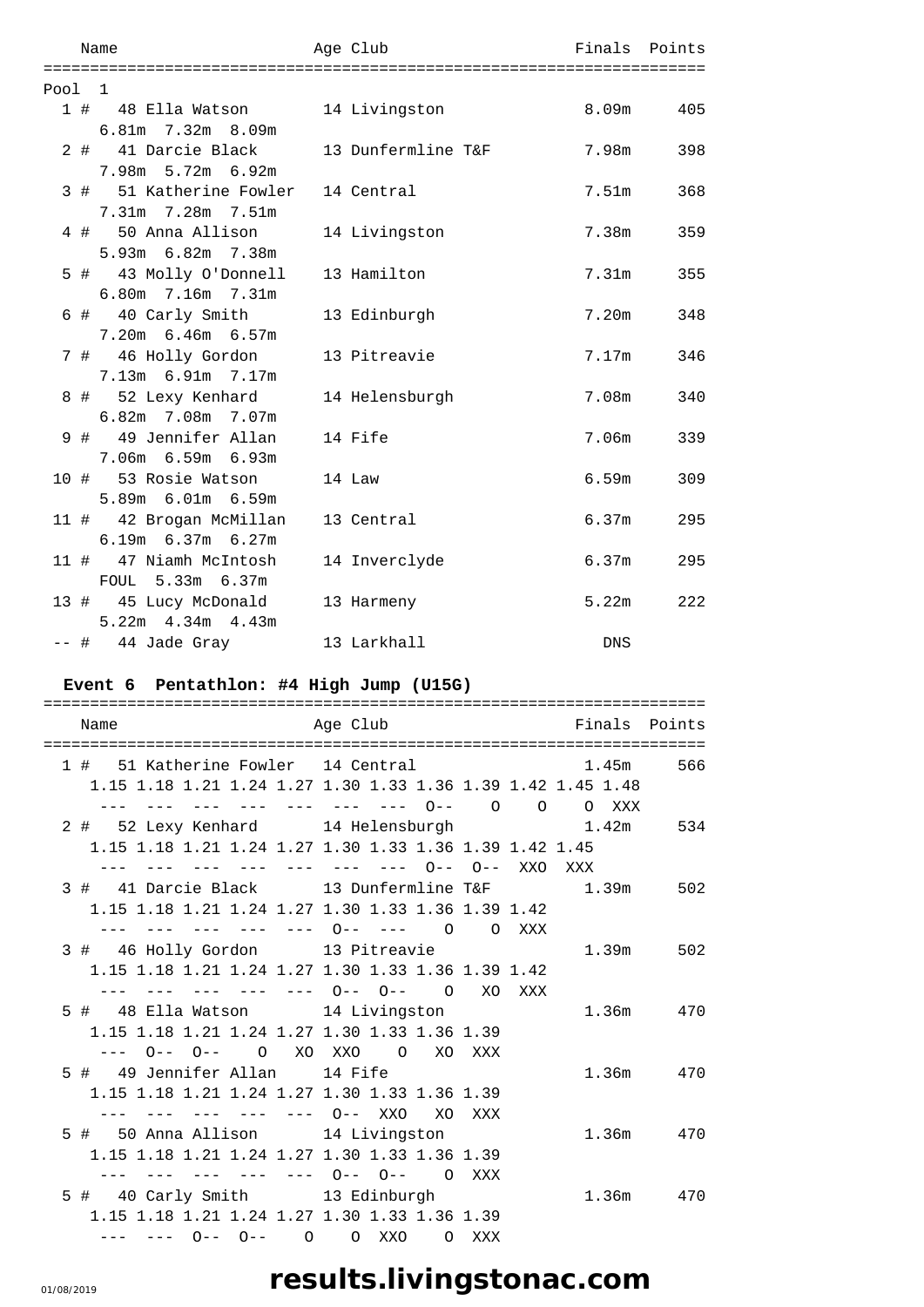|        | Age Club<br>Name                       |                | Finals Points |           |
|--------|----------------------------------------|----------------|---------------|-----------|
|        |                                        |                |               |           |
| Pool 1 |                                        |                |               |           |
|        | 1 # 48 Ella Watson 14 Livingston       |                | 8.09m 405     |           |
|        | 6.81m 7.32m 8.09m                      |                |               |           |
|        | 2 # 41 Darcie Black 13 Dunfermline T&F |                | 7.98m 398     |           |
|        | 7.98m 5.72m 6.92m                      |                |               |           |
|        | 3 # 51 Katherine Fowler 14 Central     |                |               | 7.51m 368 |
|        | 7.31m 7.28m 7.51m                      |                |               |           |
|        | 4 # 50 Anna Allison 14 Livingston      |                | 7.38m         | 359       |
|        | 5.93m 6.82m 7.38m                      |                |               |           |
|        | 5 # 43 Molly O'Donnell 13 Hamilton     |                |               | 7.31m 355 |
|        | 6.80m 7.16m 7.31m                      |                |               |           |
|        | 6 # 40 Carly Smith 13 Edinburgh        |                | 7.20m         | 348       |
|        | 7.20m 6.46m 6.57m                      |                |               |           |
|        | 7 # 46 Holly Gordon 13 Pitreavie       |                |               | 7.17m 346 |
|        | 7.13m 6.91m 7.17m                      |                |               |           |
|        | 8 # 52 Lexy Kenhard                    | 14 Helensburgh | 7.08m         | 340       |
|        | $6.82m$ 7.08 $m$ 7.07 $m$              |                |               |           |
|        | 9 # 49 Jennifer Allan 14 Fife          |                | 7.06m         | 339       |
|        | 7.06m 6.59m 6.93m                      |                |               |           |
|        | 10 # 53 Rosie Watson 14 Law            |                | 6.59m         | 309       |
|        | 5.89m 6.01m 6.59m                      |                |               |           |
|        |                                        |                |               |           |
|        | 11 # 42 Brogan McMillan 13 Central     |                | 6.37m         | 295       |
|        | $6.19m$ $6.37m$ $6.27m$                |                |               |           |
|        | 11 # 47 Niamh McIntosh                 | 14 Inverclyde  | 6.37m         | 295       |
|        | FOUL 5.33m 6.37m                       |                |               |           |
|        | 13 # 45 Lucy McDonald                  | 13 Harmeny     | 5.22m         | 222       |
|        | $5.22m$ $4.34m$ $4.43m$                |                |               |           |
|        | -- # 44 Jade Gray                      | 13 Larkhall    | DNS           |           |

### **Event 6 Pentathlon: #4 High Jump (U15G)**

|                                                             | :===================== |               |  |
|-------------------------------------------------------------|------------------------|---------------|--|
| Name                                                        | Age Club               | Finals Points |  |
|                                                             |                        |               |  |
| 1 # 51 Katherine Fowler 14 Central 1.45m 566                |                        |               |  |
| 1.15 1.18 1.21 1.24 1.27 1.30 1.33 1.36 1.39 1.42 1.45 1.48 |                        |               |  |
| --- --- --- --- --- --- --- 0-- 0 0 0 XXX                   |                        |               |  |
| 2 # 52 Lexy Kenhard 14 Helensburgh 1.42m 534                |                        |               |  |
| 1.15 1.18 1.21 1.24 1.27 1.30 1.33 1.36 1.39 1.42 1.45      |                        |               |  |
| --- --- --- --- --- --- --- 0-- 0-- XXO XXX                 |                        |               |  |
| 3 # 41 Darcie Black 13 Dunfermline T&F 1.39m 502            |                        |               |  |
| 1.15 1.18 1.21 1.24 1.27 1.30 1.33 1.36 1.39 1.42           |                        |               |  |
| --- --- --- --- --- 0-- --- 0 0 XXX                         |                        |               |  |
| 3 # 46 Holly Gordon 13 Pitreavie                            |                        | 1.39m 502     |  |
| 1.15 1.18 1.21 1.24 1.27 1.30 1.33 1.36 1.39 1.42           |                        |               |  |
| --- --- --- --- --- 0-- 0-- 0 XO XXX                        |                        |               |  |
| 5 # 48 Ella Watson 14 Livingston                            |                        | 1.36m 470     |  |
| 1.15 1.18 1.21 1.24 1.27 1.30 1.33 1.36 1.39                |                        |               |  |
| --- 0-- 0-- 0 XO XXO 0 XO XXX                               |                        |               |  |
| 5 # 49 Jennifer Allan 14 Fife                               |                        | 1.36m 470     |  |
| 1.15 1.18 1.21 1.24 1.27 1.30 1.33 1.36 1.39                |                        |               |  |
| --- --- --- --- --- 0-- XXO XO XXX                          |                        |               |  |
| 5 # 50 Anna Allison 14 Livingston                           |                        | 1.36m 470     |  |
| 1.15 1.18 1.21 1.24 1.27 1.30 1.33 1.36 1.39                |                        |               |  |
| --- --- --- --- --- 0-- 0-- 0 XXX                           |                        |               |  |
| 5 # 40 Carly Smith 13 Edinburgh                             |                        | $1.36m$ 470   |  |
| 1.15 1.18 1.21 1.24 1.27 1.30 1.33 1.36 1.39                |                        |               |  |
| --- --- 0-- 0-- 0 0 XX0 0 XXX                               |                        |               |  |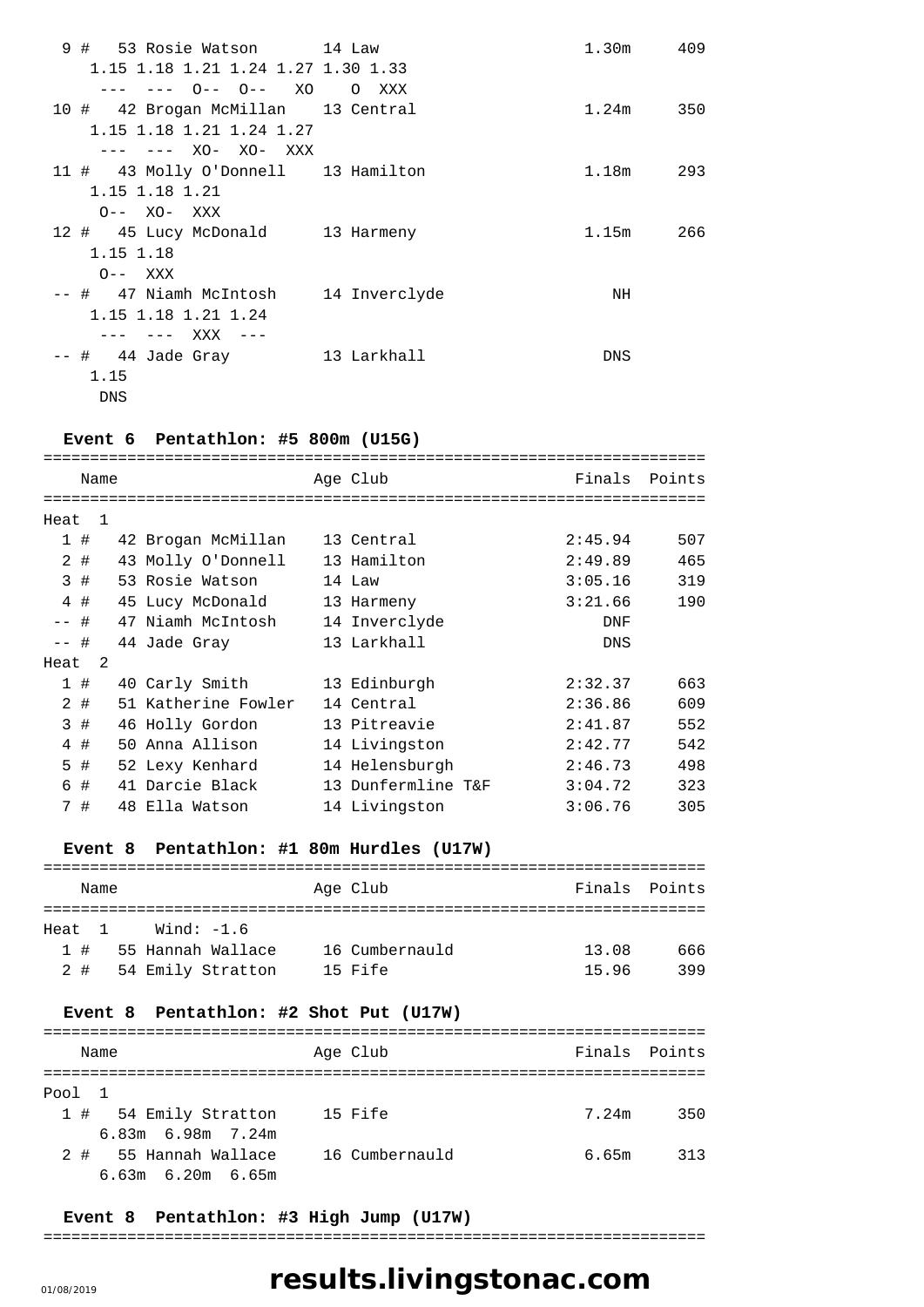| 9 # 53 Rosie Watson 14 Law           | 1.30m | 409 |
|--------------------------------------|-------|-----|
| 1.15 1.18 1.21 1.24 1.27 1.30 1.33   |       |     |
| --- --- 0-- 0-- XO 0 XXX             |       |     |
| 10 # 42 Brogan McMillan 13 Central   | 1.24m | 350 |
| 1.15 1.18 1.21 1.24 1.27             |       |     |
| --- --- xo- xo- xxx                  |       |     |
| 11 # 43 Molly O'Donnell 13 Hamilton  | 1.18m | 293 |
| 1.15 1.18 1.21                       |       |     |
| O-- XO- XXX                          |       |     |
| 12 # 45 Lucy McDonald 13 Harmeny     | 1.15m | 266 |
| 1.15 1.18                            |       |     |
| $O---$ XXX                           |       |     |
| -- # 47 Niamh McIntosh 14 Inverclyde | NH    |     |
| 1.15 1.18 1.21 1.24                  |       |     |
| ––– XXX –––                          |       |     |
| -- # 44 Jade Gray 13 Larkhall        | DNS   |     |
| 1.15                                 |       |     |
| <b>DNS</b>                           |       |     |

#### **Event 6 Pentathlon: #5 800m (U15G)**

|                |    | Name           |                     | Age Club           | Finals     | Points |
|----------------|----|----------------|---------------------|--------------------|------------|--------|
|                |    |                |                     |                    |            |        |
| Heat           |    | $\overline{1}$ |                     |                    |            |        |
|                | 1# |                | 42 Brogan McMillan  | 13 Central         | 2:45.94    | 507    |
| $\overline{2}$ | #  |                | 43 Molly O'Donnell  | 13 Hamilton        | 2:49.89    | 465    |
|                | 3# |                | 53 Rosie Watson     | 14 Law             | 3:05.16    | 319    |
| $\overline{4}$ | #  |                | 45 Lucy McDonald    | 13 Harmeny         | 3:21.66    | 190    |
| $  \,$         | #  |                | 47 Niamh McIntosh   | 14 Inverclyde      | DNF        |        |
| $--$ #         |    |                | 44 Jade Gray        | 13 Larkhall        | <b>DNS</b> |        |
| Heat           |    | $\mathcal{L}$  |                     |                    |            |        |
|                | 1# |                | 40 Carly Smith      | 13 Edinburgh       | 2:32.37    | 663    |
| 2              | #  |                | 51 Katherine Fowler | 14 Central         | 2:36.86    | 609    |
| 3              | #  |                | 46 Holly Gordon     | 13 Pitreavie       | 2:41.87    | 552    |
| 4              | #  |                | 50 Anna Allison     | 14 Livingston      | 2:42.77    | 542    |
| 5              | #  |                | 52 Lexy Kenhard     | 14 Helensburgh     | 2:46.73    | 498    |
| 6              | #  |                | 41 Darcie Black     | 13 Dunfermline T&F | 3:04.72    | 323    |
| 7              | #  |                | 48 Ella Watson      | 14 Livingston      | 3:06.76    | 305    |
|                |    |                |                     |                    |            |        |

### **Event 8 Pentathlon: #1 80m Hurdles (U17W)**

|         | Name |  |                   |  | Age Club       | Finals Points |     |  |  |  |
|---------|------|--|-------------------|--|----------------|---------------|-----|--|--|--|
|         |      |  |                   |  |                |               |     |  |  |  |
| Heat 1  |      |  | Wind: -1.6        |  |                |               |     |  |  |  |
| $1 \pm$ |      |  | 55 Hannah Wallace |  | 16 Cumbernauld | 13.08         | 666 |  |  |  |
| 2 #     |      |  | 54 Emily Stratton |  | 15 Fife        | 15.96         | 399 |  |  |  |

### **Event 8 Pentathlon: #2 Shot Put (U17W)**

| Name                    | Age Club       | Finals Points |  |  |  |  |  |
|-------------------------|----------------|---------------|--|--|--|--|--|
|                         |                |               |  |  |  |  |  |
| Pool 1                  |                |               |  |  |  |  |  |
| 1 # 54 Emily Stratton   | 15 Fife        | 7.24m<br>350  |  |  |  |  |  |
| $6.83m$ $6.98m$ $7.24m$ |                |               |  |  |  |  |  |
| 2 # 55 Hannah Wallace   | 16 Cumbernauld | 6.65m<br>313  |  |  |  |  |  |
| $6.63m$ $6.20m$ $6.65m$ |                |               |  |  |  |  |  |

#### **Event 8 Pentathlon: #3 High Jump (U17W)**

=======================================================================